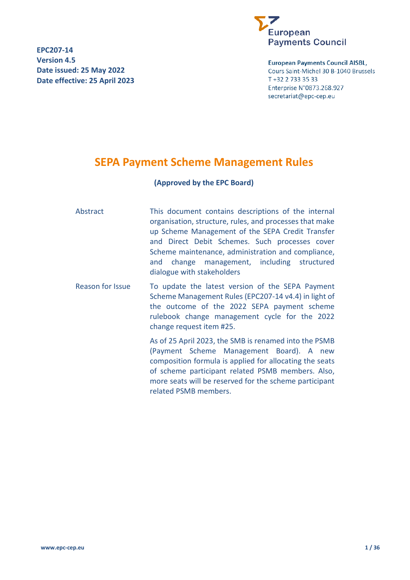**EPC207-14 Version 4.5 Date issued: 25 May 2022 Date effective: 25 April 2023**



**European Payments Council AISBL,** Cours Saint-Michel 30 B-1040 Brussels T +32 2 733 35 33 Enterprise N°0873.268.927 secretariat@epc-cep.eu

# <span id="page-0-0"></span>**SEPA Payment Scheme Management Rules**

# **(Approved by the EPC Board)**

Abstract This document contains descriptions of the internal organisation, structure, rules, and processes that make up Scheme Management of the SEPA Credit Transfer and Direct Debit Schemes. Such processes cover Scheme maintenance, administration and compliance, and change management, including structured dialogue with stakeholders

Reason for Issue To update the latest version of the SEPA Payment Scheme Management Rules (EPC207-14 v4.4) in light of the outcome of the 2022 SEPA payment scheme rulebook change management cycle for the 2022 change request item #25.

> As of 25 April 2023, the SMB is renamed into the PSMB (Payment Scheme Management Board). A new composition formula is applied for allocating the seats of scheme participant related PSMB members. Also, more seats will be reserved for the scheme participant related PSMB members.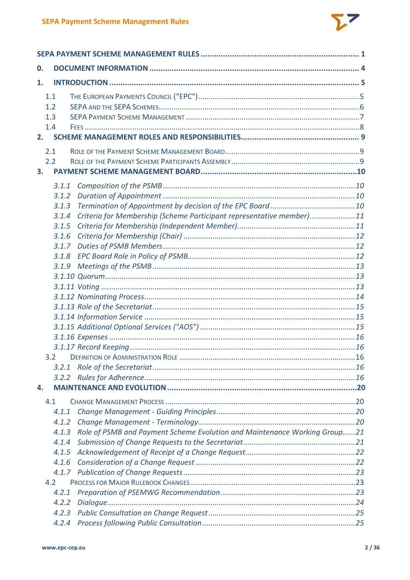

| 0.                                                                                 |  |  |
|------------------------------------------------------------------------------------|--|--|
| 1.                                                                                 |  |  |
| 1.1<br>1.2<br>1.3<br>1.4                                                           |  |  |
| 2.                                                                                 |  |  |
| 2.1<br>2.2<br>3.                                                                   |  |  |
| 3.1.1                                                                              |  |  |
| 3.1.2                                                                              |  |  |
| 3.1.3                                                                              |  |  |
| Criteria for Membership (Scheme Participant representative member)11<br>3.1.4      |  |  |
| 3.1.5                                                                              |  |  |
| 3.1.6                                                                              |  |  |
| 3.1.7                                                                              |  |  |
| 3.1.8                                                                              |  |  |
| 3.1.9                                                                              |  |  |
|                                                                                    |  |  |
|                                                                                    |  |  |
|                                                                                    |  |  |
|                                                                                    |  |  |
|                                                                                    |  |  |
|                                                                                    |  |  |
|                                                                                    |  |  |
|                                                                                    |  |  |
| 3.2                                                                                |  |  |
| 3.2.1                                                                              |  |  |
| 3.2.2                                                                              |  |  |
| 4.                                                                                 |  |  |
| 4.1                                                                                |  |  |
| 4.1.1                                                                              |  |  |
| 4.1.2                                                                              |  |  |
| Role of PSMB and Payment Scheme Evolution and Maintenance Working Group21<br>4.1.3 |  |  |
| 4.1.4                                                                              |  |  |
| 4.1.5                                                                              |  |  |
| 4.1.6                                                                              |  |  |
|                                                                                    |  |  |
| 4.2                                                                                |  |  |
| 4.2.1                                                                              |  |  |
| 4.2.2                                                                              |  |  |
| 4.2.3                                                                              |  |  |
| 4.2.4                                                                              |  |  |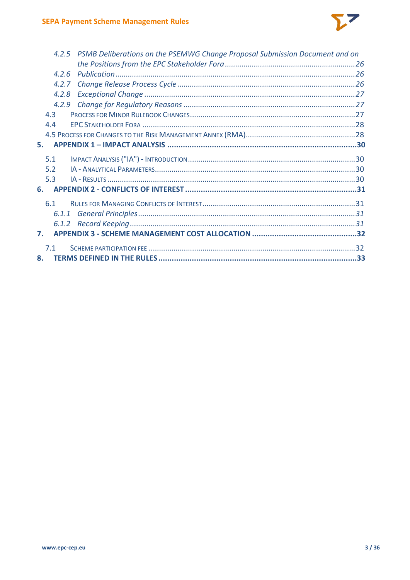

|    |       | 4.2.5 PSMB Deliberations on the PSEMWG Change Proposal Submission Document and on |  |
|----|-------|-----------------------------------------------------------------------------------|--|
|    |       |                                                                                   |  |
|    | 4.2.6 |                                                                                   |  |
|    | 4.2.7 |                                                                                   |  |
|    | 4.2.8 |                                                                                   |  |
|    |       |                                                                                   |  |
|    | 4.3   |                                                                                   |  |
|    | 4.4   |                                                                                   |  |
|    |       |                                                                                   |  |
| 5. |       |                                                                                   |  |
|    | 5.1   |                                                                                   |  |
|    | 5.2   |                                                                                   |  |
|    | 5.3   |                                                                                   |  |
|    | 6.    |                                                                                   |  |
|    |       |                                                                                   |  |
|    | 6.1   |                                                                                   |  |
|    |       |                                                                                   |  |
|    |       |                                                                                   |  |
| 7. |       |                                                                                   |  |
|    | 7.1   |                                                                                   |  |
| 8. |       |                                                                                   |  |
|    |       |                                                                                   |  |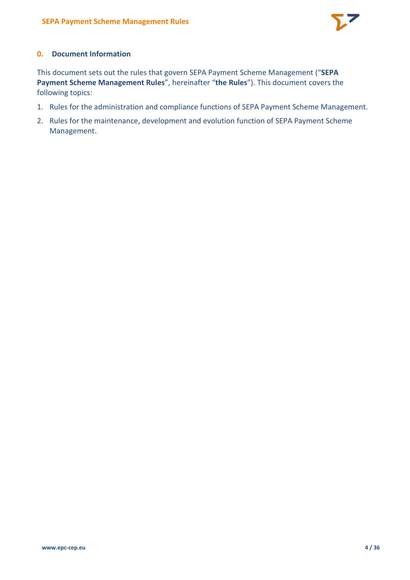

# <span id="page-3-0"></span>**0. Document Information**

This document sets out the rules that govern SEPA Payment Scheme Management ("**SEPA Payment Scheme Management Rules**", hereinafter "**the Rules**"). This document covers the following topics:

- 1. Rules for the administration and compliance functions of SEPA Payment Scheme Management.
- 2. Rules for the maintenance, development and evolution function of SEPA Payment Scheme Management.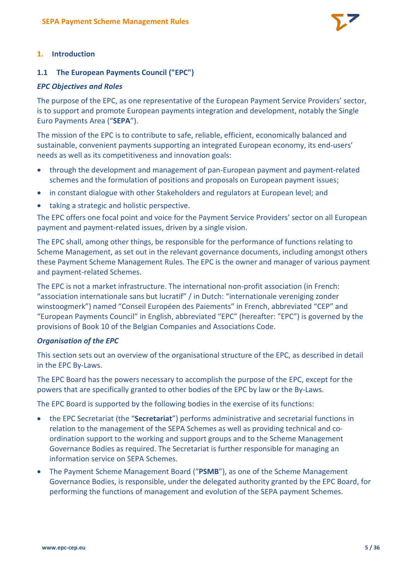

# <span id="page-4-0"></span>**1. Introduction**

# <span id="page-4-1"></span>**1.1 The European Payments Council ("EPC")**

#### *EPC Objectives and Roles*

The purpose of the EPC, as one representative of the European Payment Service Providers' sector, is to support and promote European payments integration and development, notably the Single Euro Payments Area ("**SEPA**").

The mission of the EPC is to contribute to safe, reliable, efficient, economically balanced and sustainable, convenient payments supporting an integrated European economy, its end-users' needs as well as its competitiveness and innovation goals:

- through the development and management of pan-European payment and payment-related schemes and the formulation of positions and proposals on European payment issues;
- in constant dialogue with other Stakeholders and regulators at European level; and
- taking a strategic and holistic perspective.

The EPC offers one focal point and voice for the Payment Service Providers' sector on all European payment and payment-related issues, driven by a single vision.

The EPC shall, among other things, be responsible for the performance of functions relating to Scheme Management, as set out in the relevant governance documents, including amongst others these Payment Scheme Management Rules. The EPC is the owner and manager of various payment and payment-related Schemes.

The EPC is not a market infrastructure. The international non-profit association (in French: "association internationale sans but lucratif" / in Dutch: "internationale vereniging zonder winstoogmerk") named "Conseil Européen des Paiements" in French, abbreviated "CEP" and "European Payments Council" in English, abbreviated "EPC" (hereafter: "EPC") is governed by the provisions of Book 10 of the Belgian Companies and Associations Code.

#### *Organisation of the EPC*

This section sets out an overview of the organisational structure of the EPC, as described in detail in the EPC By-Laws.

The EPC Board has the powers necessary to accomplish the purpose of the EPC, except for the powers that are specifically granted to other bodies of the EPC by law or the By-Laws.

The EPC Board is supported by the following bodies in the exercise of its functions:

- the EPC Secretariat (the "**Secretariat**") performs administrative and secretarial functions in relation to the management of the SEPA Schemes as well as providing technical and coordination support to the working and support groups and to the Scheme Management Governance Bodies as required. The Secretariat is further responsible for managing an information service on SEPA Schemes.
- The Payment Scheme Management Board ("**PSMB**"), as one of the Scheme Management Governance Bodies, is responsible, under the delegated authority granted by the EPC Board, for performing the functions of management and evolution of the SEPA payment Schemes.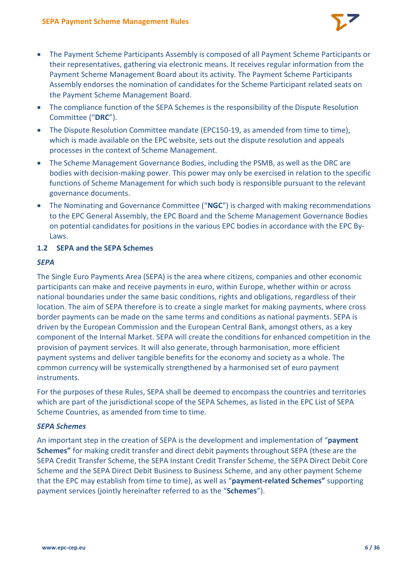

- The Payment Scheme Participants Assembly is composed of all Payment Scheme Participants or their representatives, gathering via electronic means. It receives regular information from the Payment Scheme Management Board about its activity. The Payment Scheme Participants Assembly endorses the nomination of candidates for the Scheme Participant related seats on the Payment Scheme Management Board.
- The compliance function of the SEPA Schemes is the responsibility of the Dispute Resolution Committee ("**DRC**").
- The Dispute Resolution Committee mandate (EPC150-19, as amended from time to time), which is made available on the EPC website, sets out the dispute resolution and appeals processes in the context of Scheme Management.
- The Scheme Management Governance Bodies, including the PSMB, as well as the DRC are bodies with decision-making power. This power may only be exercised in relation to the specific functions of Scheme Management for which such body is responsible pursuant to the relevant governance documents.
- The Nominating and Governance Committee ("**NGC**") is charged with making recommendations to the EPC General Assembly, the EPC Board and the Scheme Management Governance Bodies on potential candidates for positions in the various EPC bodies in accordance with the EPC By-Laws.

# <span id="page-5-0"></span>**1.2 SEPA and the SEPA Schemes**

# *SEPA*

The Single Euro Payments Area (SEPA) is the area where citizens, companies and other economic participants can make and receive payments in euro, within Europe, whether within or across national boundaries under the same basic conditions, rights and obligations, regardless of their location. The aim of SEPA therefore is to create a single market for making payments, where cross border payments can be made on the same terms and conditions as national payments. SEPA is driven by the European Commission and the European Central Bank, amongst others, as a key component of the Internal Market. SEPA will create the conditions for enhanced competition in the provision of payment services. It will also generate, through harmonisation, more efficient payment systems and deliver tangible benefits for the economy and society as a whole. The common currency will be systemically strengthened by a harmonised set of euro payment instruments.

For the purposes of these Rules, SEPA shall be deemed to encompass the countries and territories which are part of the jurisdictional scope of the SEPA Schemes, as listed in the EPC List of SEPA Scheme Countries, as amended from time to time.

# *SEPA Schemes*

An important step in the creation of SEPA is the development and implementation of "**payment Schemes"** for making credit transfer and direct debit payments throughout SEPA (these are the SEPA Credit Transfer Scheme, the SEPA Instant Credit Transfer Scheme, the SEPA Direct Debit Core Scheme and the SEPA Direct Debit Business to Business Scheme, and any other payment Scheme that the EPC may establish from time to time), as well as "**payment-related Schemes"** supporting payment services (jointly hereinafter referred to as the "**Schemes**").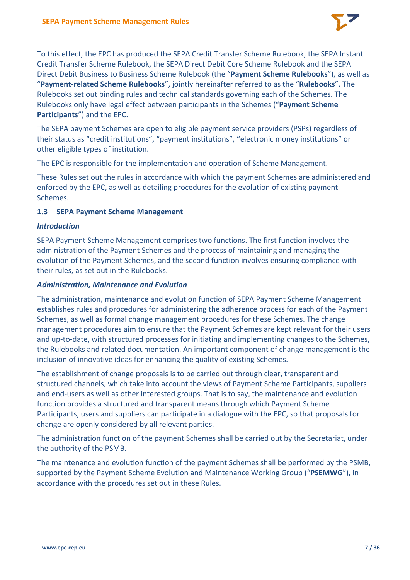

To this effect, the EPC has produced the SEPA Credit Transfer Scheme Rulebook, the SEPA Instant Credit Transfer Scheme Rulebook, the SEPA Direct Debit Core Scheme Rulebook and the SEPA Direct Debit Business to Business Scheme Rulebook (the "**Payment Scheme Rulebooks**"), as well as "**Payment-related Scheme Rulebooks**", jointly hereinafter referred to as the "**Rulebooks**". The Rulebooks set out binding rules and technical standards governing each of the Schemes. The Rulebooks only have legal effect between participants in the Schemes ("**Payment Scheme Participants**") and the EPC.

The SEPA payment Schemes are open to eligible payment service providers (PSPs) regardless of their status as "credit institutions", "payment institutions", "electronic money institutions" or other eligible types of institution.

The EPC is responsible for the implementation and operation of Scheme Management.

These Rules set out the rules in accordance with which the payment Schemes are administered and enforced by the EPC, as well as detailing procedures for the evolution of existing payment Schemes.

# <span id="page-6-0"></span>**1.3 SEPA Payment Scheme Management**

#### *Introduction*

SEPA Payment Scheme Management comprises two functions. The first function involves the administration of the Payment Schemes and the process of maintaining and managing the evolution of the Payment Schemes, and the second function involves ensuring compliance with their rules, as set out in the Rulebooks.

#### *Administration, Maintenance and Evolution*

The administration, maintenance and evolution function of SEPA Payment Scheme Management establishes rules and procedures for administering the adherence process for each of the Payment Schemes, as well as formal change management procedures for these Schemes. The change management procedures aim to ensure that the Payment Schemes are kept relevant for their users and up-to-date, with structured processes for initiating and implementing changes to the Schemes, the Rulebooks and related documentation. An important component of change management is the inclusion of innovative ideas for enhancing the quality of existing Schemes.

The establishment of change proposals is to be carried out through clear, transparent and structured channels, which take into account the views of Payment Scheme Participants, suppliers and end-users as well as other interested groups. That is to say, the maintenance and evolution function provides a structured and transparent means through which Payment Scheme Participants, users and suppliers can participate in a dialogue with the EPC, so that proposals for change are openly considered by all relevant parties.

The administration function of the payment Schemes shall be carried out by the Secretariat, under the authority of the PSMB.

The maintenance and evolution function of the payment Schemes shall be performed by the PSMB, supported by the Payment Scheme Evolution and Maintenance Working Group ("**PSEMWG**"), in accordance with the procedures set out in these Rules.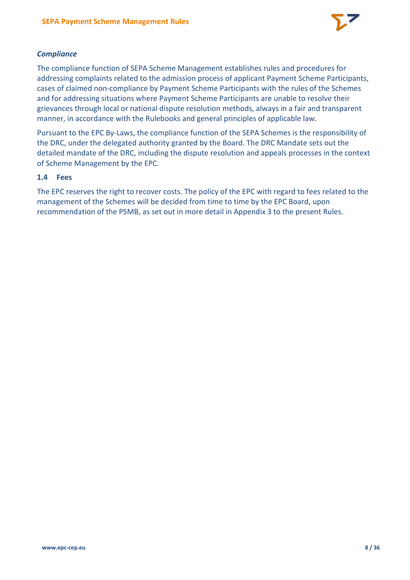

# *Compliance*

The compliance function of SEPA Scheme Management establishes rules and procedures for addressing complaints related to the admission process of applicant Payment Scheme Participants, cases of claimed non-compliance by Payment Scheme Participants with the rules of the Schemes and for addressing situations where Payment Scheme Participants are unable to resolve their grievances through local or national dispute resolution methods, always in a fair and transparent manner, in accordance with the Rulebooks and general principles of applicable law.

Pursuant to the EPC By-Laws, the compliance function of the SEPA Schemes is the responsibility of the DRC, under the delegated authority granted by the Board. The DRC Mandate sets out the detailed mandate of the DRC, including the dispute resolution and appeals processes in the context of Scheme Management by the EPC.

# <span id="page-7-0"></span>**1.4 Fees**

The EPC reserves the right to recover costs. The policy of the EPC with regard to fees related to the management of the Schemes will be decided from time to time by the EPC Board, upon recommendation of the PSMB, as set out in more detail in Appendix 3 to the present Rules.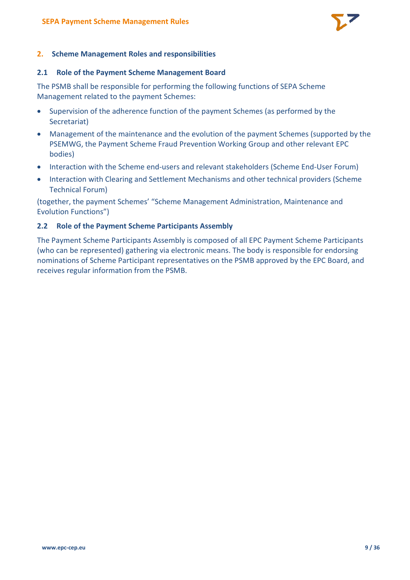

#### <span id="page-8-0"></span>**2. Scheme Management Roles and responsibilities**

#### <span id="page-8-1"></span>**2.1 Role of the Payment Scheme Management Board**

The PSMB shall be responsible for performing the following functions of SEPA Scheme Management related to the payment Schemes:

- Supervision of the adherence function of the payment Schemes (as performed by the Secretariat)
- Management of the maintenance and the evolution of the payment Schemes (supported by the PSEMWG, the Payment Scheme Fraud Prevention Working Group and other relevant EPC bodies)
- Interaction with the Scheme end-users and relevant stakeholders (Scheme End-User Forum)
- Interaction with Clearing and Settlement Mechanisms and other technical providers (Scheme Technical Forum)

(together, the payment Schemes' "Scheme Management Administration, Maintenance and Evolution Functions")

#### <span id="page-8-2"></span>**2.2 Role of the Payment Scheme Participants Assembly**

The Payment Scheme Participants Assembly is composed of all EPC Payment Scheme Participants (who can be represented) gathering via electronic means. The body is responsible for endorsing nominations of Scheme Participant representatives on the PSMB approved by the EPC Board, and receives regular information from the PSMB.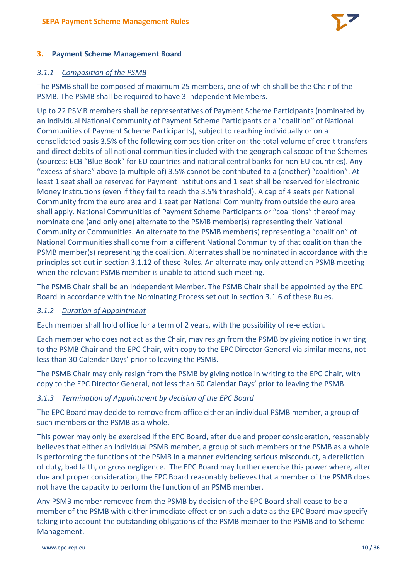

# <span id="page-9-0"></span>**3. Payment Scheme Management Board**

#### <span id="page-9-1"></span>*3.1.1 Composition of the PSMB*

The PSMB shall be composed of maximum 25 members, one of which shall be the Chair of the PSMB. The PSMB shall be required to have 3 Independent Members.

Up to 22 PSMB members shall be representatives of Payment Scheme Participants (nominated by an individual National Community of Payment Scheme Participants or a "coalition" of National Communities of Payment Scheme Participants), subject to reaching individually or on a consolidated basis 3.5% of the following composition criterion: the total volume of credit transfers and direct debits of all national communities included with the geographical scope of the Schemes (sources: ECB "Blue Book" for EU countries and national central banks for non-EU countries). Any "excess of share" above (a multiple of) 3.5% cannot be contributed to a (another) "coalition". At least 1 seat shall be reserved for Payment Institutions and 1 seat shall be reserved for Electronic Money Institutions (even if they fail to reach the 3.5% threshold). A cap of 4 seats per National Community from the euro area and 1 seat per National Community from outside the euro area shall apply. National Communities of Payment Scheme Participants or "coalitions" thereof may nominate one (and only one) alternate to the PSMB member(s) representing their National Community or Communities. An alternate to the PSMB member(s) representing a "coalition" of National Communities shall come from a different National Community of that coalition than the PSMB member(s) representing the coalition. Alternates shall be nominated in accordance with the principles set out in section [3.1.12](#page-13-0) of these Rules. An alternate may only attend an PSMB meeting when the relevant PSMB member is unable to attend such meeting.

The PSMB Chair shall be an Independent Member. The PSMB Chair shall be appointed by the EPC Board in accordance with the Nominating Process set out in section [3.1.6](#page-11-0) of these Rules.

#### <span id="page-9-2"></span>*3.1.2 Duration of Appointment*

Each member shall hold office for a term of 2 years, with the possibility of re-election.

Each member who does not act as the Chair, may resign from the PSMB by giving notice in writing to the PSMB Chair and the EPC Chair, with copy to the EPC Director General via similar means, not less than 30 Calendar Days' prior to leaving the PSMB.

The PSMB Chair may only resign from the PSMB by giving notice in writing to the EPC Chair, with copy to the EPC Director General, not less than 60 Calendar Days' prior to leaving the PSMB.

#### <span id="page-9-3"></span>*3.1.3 Termination of Appointment by decision of the EPC Board*

The EPC Board may decide to remove from office either an individual PSMB member, a group of such members or the PSMB as a whole.

This power may only be exercised if the EPC Board, after due and proper consideration, reasonably believes that either an individual PSMB member, a group of such members or the PSMB as a whole is performing the functions of the PSMB in a manner evidencing serious misconduct, a dereliction of duty, bad faith, or gross negligence. The EPC Board may further exercise this power where, after due and proper consideration, the EPC Board reasonably believes that a member of the PSMB does not have the capacity to perform the function of an PSMB member.

Any PSMB member removed from the PSMB by decision of the EPC Board shall cease to be a member of the PSMB with either immediate effect or on such a date as the EPC Board may specify taking into account the outstanding obligations of the PSMB member to the PSMB and to Scheme Management.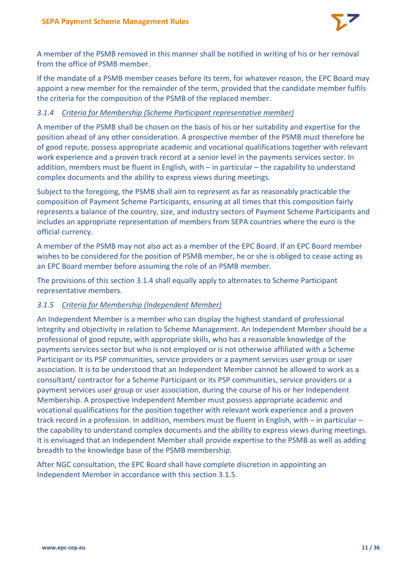

A member of the PSMB removed in this manner shall be notified in writing of his or her removal from the office of PSMB member.

If the mandate of a PSMB member ceases before its term, for whatever reason, the EPC Board may appoint a new member for the remainder of the term, provided that the candidate member fulfils the criteria for the composition of the PSMB of the replaced member.

# <span id="page-10-0"></span>*3.1.4 Criteria for Membership (Scheme Participant representative member)*

A member of the PSMB shall be chosen on the basis of his or her suitability and expertise for the position ahead of any other consideration. A prospective member of the PSMB must therefore be of good repute, possess appropriate academic and vocational qualifications together with relevant work experience and a proven track record at a senior level in the payments services sector. In addition, members must be fluent in English, with – in particular – the capability to understand complex documents and the ability to express views during meetings.

Subject to the foregoing, the PSMB shall aim to represent as far as reasonably practicable the composition of Payment Scheme Participants, ensuring at all times that this composition fairly represents a balance of the country, size, and industry sectors of Payment Scheme Participants and includes an appropriate representation of members from SEPA countries where the euro is the official currency.

A member of the PSMB may not also act as a member of the EPC Board. If an EPC Board member wishes to be considered for the position of PSMB member, he or she is obliged to cease acting as an EPC Board member before assuming the role of an PSMB member.

The provisions of this section [3.1.4](#page-10-0) shall equally apply to alternates to Scheme Participant representative members.

# <span id="page-10-1"></span>*3.1.5 Criteria for Membership (Independent Member)*

An Independent Member is a member who can display the highest standard of professional integrity and objectivity in relation to Scheme Management. An Independent Member should be a professional of good repute, with appropriate skills, who has a reasonable knowledge of the payments services sector but who is not employed or is not otherwise affiliated with a Scheme Participant or its PSP communities, service providers or a payment services user group or user association. It is to be understood that an Independent Member cannot be allowed to work as a consultant/ contractor for a Scheme Participant or its PSP communities, service providers or a payment services user group or user association, during the course of his or her Independent Membership. A prospective Independent Member must possess appropriate academic and vocational qualifications for the position together with relevant work experience and a proven track record in a profession. In addition, members must be fluent in English, with – in particular – the capability to understand complex documents and the ability to express views during meetings. It is envisaged that an Independent Member shall provide expertise to the PSMB as well as adding breadth to the knowledge base of the PSMB membership.

After NGC consultation, the EPC Board shall have complete discretion in appointing an Independent Member in accordance with this section [3.1.5.](#page-10-1)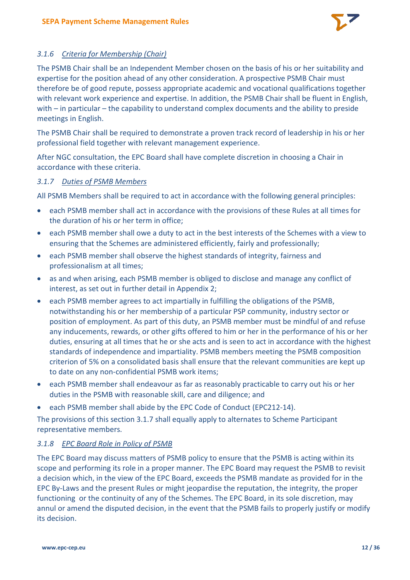

# <span id="page-11-0"></span>*3.1.6 Criteria for Membership (Chair)*

The PSMB Chair shall be an Independent Member chosen on the basis of his or her suitability and expertise for the position ahead of any other consideration. A prospective PSMB Chair must therefore be of good repute, possess appropriate academic and vocational qualifications together with relevant work experience and expertise. In addition, the PSMB Chair shall be fluent in English, with – in particular – the capability to understand complex documents and the ability to preside meetings in English.

The PSMB Chair shall be required to demonstrate a proven track record of leadership in his or her professional field together with relevant management experience.

After NGC consultation, the EPC Board shall have complete discretion in choosing a Chair in accordance with these criteria.

# <span id="page-11-1"></span>*3.1.7 Duties of PSMB Members*

All PSMB Members shall be required to act in accordance with the following general principles:

- each PSMB member shall act in accordance with the provisions of these Rules at all times for the duration of his or her term in office;
- each PSMB member shall owe a duty to act in the best interests of the Schemes with a view to ensuring that the Schemes are administered efficiently, fairly and professionally;
- each PSMB member shall observe the highest standards of integrity, fairness and professionalism at all times;
- as and when arising, each PSMB member is obliged to disclose and manage any conflict of interest, as set out in further detail in Appendix 2;
- each PSMB member agrees to act impartially in fulfilling the obligations of the PSMB, notwithstanding his or her membership of a particular PSP community, industry sector or position of employment. As part of this duty, an PSMB member must be mindful of and refuse any inducements, rewards, or other gifts offered to him or her in the performance of his or her duties, ensuring at all times that he or she acts and is seen to act in accordance with the highest standards of independence and impartiality. PSMB members meeting the PSMB composition criterion of 5% on a consolidated basis shall ensure that the relevant communities are kept up to date on any non-confidential PSMB work items;
- each PSMB member shall endeavour as far as reasonably practicable to carry out his or her duties in the PSMB with reasonable skill, care and diligence; and
- each PSMB member shall abide by the EPC Code of Conduct (EPC212-14).

The provisions of this section [3.1.7](#page-11-1) shall equally apply to alternates to Scheme Participant representative members.

# <span id="page-11-2"></span>*3.1.8 EPC Board Role in Policy of PSMB*

The EPC Board may discuss matters of PSMB policy to ensure that the PSMB is acting within its scope and performing its role in a proper manner. The EPC Board may request the PSMB to revisit a decision which, in the view of the EPC Board, exceeds the PSMB mandate as provided for in the EPC By-Laws and the present Rules or might jeopardise the reputation, the integrity, the proper functioning or the continuity of any of the Schemes. The EPC Board, in its sole discretion, may annul or amend the disputed decision, in the event that the PSMB fails to properly justify or modify its decision.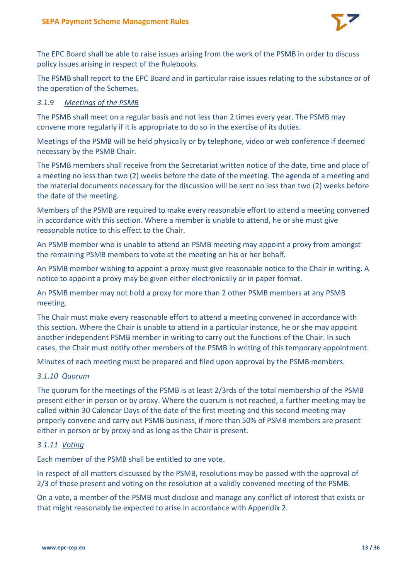

The EPC Board shall be able to raise issues arising from the work of the PSMB in order to discuss policy issues arising in respect of the Rulebooks.

The PSMB shall report to the EPC Board and in particular raise issues relating to the substance or of the operation of the Schemes.

#### <span id="page-12-0"></span>*3.1.9 Meetings of the PSMB*

The PSMB shall meet on a regular basis and not less than 2 times every year. The PSMB may convene more regularly if it is appropriate to do so in the exercise of its duties.

Meetings of the PSMB will be held physically or by telephone, video or web conference if deemed necessary by the PSMB Chair.

The PSMB members shall receive from the Secretariat written notice of the date, time and place of a meeting no less than two (2) weeks before the date of the meeting. The agenda of a meeting and the material documents necessary for the discussion will be sent no less than two (2) weeks before the date of the meeting.

Members of the PSMB are required to make every reasonable effort to attend a meeting convened in accordance with this section. Where a member is unable to attend, he or she must give reasonable notice to this effect to the Chair.

An PSMB member who is unable to attend an PSMB meeting may appoint a proxy from amongst the remaining PSMB members to vote at the meeting on his or her behalf.

An PSMB member wishing to appoint a proxy must give reasonable notice to the Chair in writing. A notice to appoint a proxy may be given either electronically or in paper format.

An PSMB member may not hold a proxy for more than 2 other PSMB members at any PSMB meeting.

The Chair must make every reasonable effort to attend a meeting convened in accordance with this section. Where the Chair is unable to attend in a particular instance, he or she may appoint another independent PSMB member in writing to carry out the functions of the Chair. In such cases, the Chair must notify other members of the PSMB in writing of this temporary appointment.

Minutes of each meeting must be prepared and filed upon approval by the PSMB members.

#### <span id="page-12-1"></span>*3.1.10 Quorum*

The quorum for the meetings of the PSMB is at least 2/3rds of the total membership of the PSMB present either in person or by proxy. Where the quorum is not reached, a further meeting may be called within 30 Calendar Days of the date of the first meeting and this second meeting may properly convene and carry out PSMB business, if more than 50% of PSMB members are present either in person or by proxy and as long as the Chair is present.

#### <span id="page-12-2"></span>*3.1.11 Voting*

Each member of the PSMB shall be entitled to one vote.

In respect of all matters discussed by the PSMB, resolutions may be passed with the approval of 2/3 of those present and voting on the resolution at a validly convened meeting of the PSMB.

On a vote, a member of the PSMB must disclose and manage any conflict of interest that exists or that might reasonably be expected to arise in accordance with Appendix 2.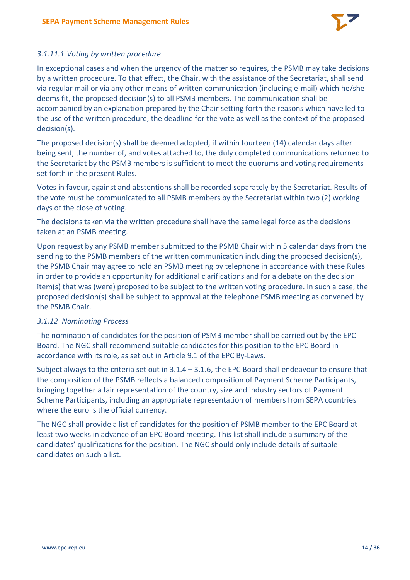

# *3.1.11.1 Voting by written procedure*

In exceptional cases and when the urgency of the matter so requires, the PSMB may take decisions by a written procedure. To that effect, the Chair, with the assistance of the Secretariat, shall send via regular mail or via any other means of written communication (including e-mail) which he/she deems fit, the proposed decision(s) to all PSMB members. The communication shall be accompanied by an explanation prepared by the Chair setting forth the reasons which have led to the use of the written procedure, the deadline for the vote as well as the context of the proposed decision(s).

The proposed decision(s) shall be deemed adopted, if within fourteen (14) calendar days after being sent, the number of, and votes attached to, the duly completed communications returned to the Secretariat by the PSMB members is sufficient to meet the quorums and voting requirements set forth in the present Rules.

Votes in favour, against and abstentions shall be recorded separately by the Secretariat. Results of the vote must be communicated to all PSMB members by the Secretariat within two (2) working days of the close of voting.

The decisions taken via the written procedure shall have the same legal force as the decisions taken at an PSMB meeting.

Upon request by any PSMB member submitted to the PSMB Chair within 5 calendar days from the sending to the PSMB members of the written communication including the proposed decision(s), the PSMB Chair may agree to hold an PSMB meeting by telephone in accordance with these Rules in order to provide an opportunity for additional clarifications and for a debate on the decision item(s) that was (were) proposed to be subject to the written voting procedure. In such a case, the proposed decision(s) shall be subject to approval at the telephone PSMB meeting as convened by the PSMB Chair.

# <span id="page-13-0"></span>*3.1.12 Nominating Process*

The nomination of candidates for the position of PSMB member shall be carried out by the EPC Board. The NGC shall recommend suitable candidates for this position to the EPC Board in accordance with its role, as set out in Article 9.1 of the EPC By-Laws.

Subject always to the criteria set out in [3.1.4](#page-10-0) – [3.1.6,](#page-11-0) the EPC Board shall endeavour to ensure that the composition of the PSMB reflects a balanced composition of Payment Scheme Participants, bringing together a fair representation of the country, size and industry sectors of Payment Scheme Participants, including an appropriate representation of members from SEPA countries where the euro is the official currency.

The NGC shall provide a list of candidates for the position of PSMB member to the EPC Board at least two weeks in advance of an EPC Board meeting. This list shall include a summary of the candidates' qualifications for the position. The NGC should only include details of suitable candidates on such a list.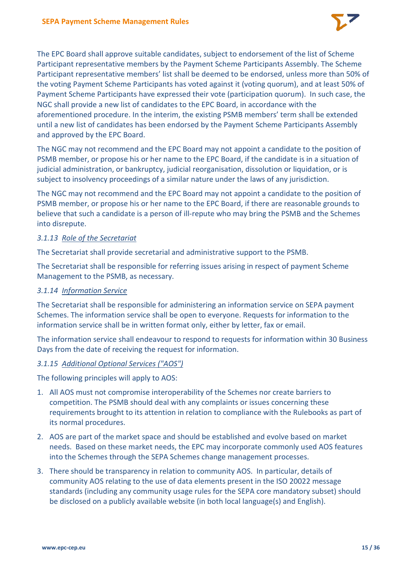

The EPC Board shall approve suitable candidates, subject to endorsement of the list of Scheme Participant representative members by the Payment Scheme Participants Assembly. The Scheme Participant representative members' list shall be deemed to be endorsed, unless more than 50% of the voting Payment Scheme Participants has voted against it (voting quorum), and at least 50% of Payment Scheme Participants have expressed their vote (participation quorum). In such case, the NGC shall provide a new list of candidates to the EPC Board, in accordance with the aforementioned procedure. In the interim, the existing PSMB members' term shall be extended until a new list of candidates has been endorsed by the Payment Scheme Participants Assembly and approved by the EPC Board.

The NGC may not recommend and the EPC Board may not appoint a candidate to the position of PSMB member, or propose his or her name to the EPC Board, if the candidate is in a situation of judicial administration, or bankruptcy, judicial reorganisation, dissolution or liquidation, or is subject to insolvency proceedings of a similar nature under the laws of any jurisdiction.

The NGC may not recommend and the EPC Board may not appoint a candidate to the position of PSMB member, or propose his or her name to the EPC Board, if there are reasonable grounds to believe that such a candidate is a person of ill-repute who may bring the PSMB and the Schemes into disrepute.

#### <span id="page-14-0"></span>*3.1.13 Role of the Secretariat*

The Secretariat shall provide secretarial and administrative support to the PSMB.

The Secretariat shall be responsible for referring issues arising in respect of payment Scheme Management to the PSMB, as necessary.

#### <span id="page-14-1"></span>*3.1.14 Information Service*

The Secretariat shall be responsible for administering an information service on SEPA payment Schemes. The information service shall be open to everyone. Requests for information to the information service shall be in written format only, either by letter, fax or email.

The information service shall endeavour to respond to requests for information within 30 Business Days from the date of receiving the request for information.

#### <span id="page-14-2"></span>*3.1.15 Additional Optional Services ("AOS")*

The following principles will apply to AOS:

- 1. All AOS must not compromise interoperability of the Schemes nor create barriers to competition. The PSMB should deal with any complaints or issues concerning these requirements brought to its attention in relation to compliance with the Rulebooks as part of its normal procedures.
- 2. AOS are part of the market space and should be established and evolve based on market needs. Based on these market needs, the EPC may incorporate commonly used AOS features into the Schemes through the SEPA Schemes change management processes.
- 3. There should be transparency in relation to community AOS. In particular, details of community AOS relating to the use of data elements present in the ISO 20022 message standards (including any community usage rules for the SEPA core mandatory subset) should be disclosed on a publicly available website (in both local language(s) and English).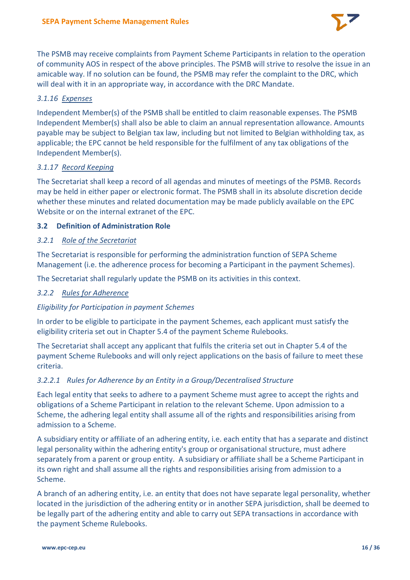

The PSMB may receive complaints from Payment Scheme Participants in relation to the operation of community AOS in respect of the above principles. The PSMB will strive to resolve the issue in an amicable way. If no solution can be found, the PSMB may refer the complaint to the DRC, which will deal with it in an appropriate way, in accordance with the DRC Mandate.

# <span id="page-15-0"></span>*3.1.16 Expenses*

Independent Member(s) of the PSMB shall be entitled to claim reasonable expenses. The PSMB Independent Member(s) shall also be able to claim an annual representation allowance. Amounts payable may be subject to Belgian tax law, including but not limited to Belgian withholding tax, as applicable; the EPC cannot be held responsible for the fulfilment of any tax obligations of the Independent Member(s).

# <span id="page-15-1"></span>*3.1.17 Record Keeping*

The Secretariat shall keep a record of all agendas and minutes of meetings of the PSMB. Records may be held in either paper or electronic format. The PSMB shall in its absolute discretion decide whether these minutes and related documentation may be made publicly available on the EPC Website or on the internal extranet of the EPC.

# <span id="page-15-2"></span>**3.2 Definition of Administration Role**

# <span id="page-15-3"></span>*3.2.1 Role of the Secretariat*

The Secretariat is responsible for performing the administration function of SEPA Scheme Management (i.e. the adherence process for becoming a Participant in the payment Schemes).

The Secretariat shall regularly update the PSMB on its activities in this context.

# <span id="page-15-4"></span>*3.2.2 Rules for Adherence*

# *Eligibility for Participation in payment Schemes*

In order to be eligible to participate in the payment Schemes, each applicant must satisfy the eligibility criteria set out in Chapter 5.4 of the payment Scheme Rulebooks.

The Secretariat shall accept any applicant that fulfils the criteria set out in Chapter 5.4 of the payment Scheme Rulebooks and will only reject applications on the basis of failure to meet these criteria.

# *3.2.2.1 Rules for Adherence by an Entity in a Group/Decentralised Structure*

Each legal entity that seeks to adhere to a payment Scheme must agree to accept the rights and obligations of a Scheme Participant in relation to the relevant Scheme. Upon admission to a Scheme, the adhering legal entity shall assume all of the rights and responsibilities arising from admission to a Scheme.

A subsidiary entity or affiliate of an adhering entity, i.e. each entity that has a separate and distinct legal personality within the adhering entity's group or organisational structure, must adhere separately from a parent or group entity. A subsidiary or affiliate shall be a Scheme Participant in its own right and shall assume all the rights and responsibilities arising from admission to a Scheme.

A branch of an adhering entity, i.e. an entity that does not have separate legal personality, whether located in the jurisdiction of the adhering entity or in another SEPA jurisdiction, shall be deemed to be legally part of the adhering entity and able to carry out SEPA transactions in accordance with the payment Scheme Rulebooks.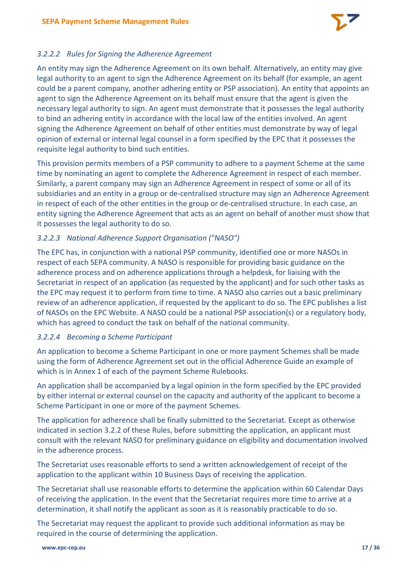

# *3.2.2.2 Rules for Signing the Adherence Agreement*

An entity may sign the Adherence Agreement on its own behalf. Alternatively, an entity may give legal authority to an agent to sign the Adherence Agreement on its behalf (for example, an agent could be a parent company, another adhering entity or PSP association). An entity that appoints an agent to sign the Adherence Agreement on its behalf must ensure that the agent is given the necessary legal authority to sign. An agent must demonstrate that it possesses the legal authority to bind an adhering entity in accordance with the local law of the entities involved. An agent signing the Adherence Agreement on behalf of other entities must demonstrate by way of legal opinion of external or internal legal counsel in a form specified by the EPC that it possesses the requisite legal authority to bind such entities.

This provision permits members of a PSP community to adhere to a payment Scheme at the same time by nominating an agent to complete the Adherence Agreement in respect of each member. Similarly, a parent company may sign an Adherence Agreement in respect of some or all of its subsidiaries and an entity in a group or de-centralised structure may sign an Adherence Agreement in respect of each of the other entities in the group or de-centralised structure. In each case, an entity signing the Adherence Agreement that acts as an agent on behalf of another must show that it possesses the legal authority to do so.

# *3.2.2.3 National Adherence Support Organisation ("NASO")*

The EPC has, in conjunction with a national PSP community, identified one or more NASOs in respect of each SEPA community. A NASO is responsible for providing basic guidance on the adherence process and on adherence applications through a helpdesk, for liaising with the Secretariat in respect of an application (as requested by the applicant) and for such other tasks as the EPC may request it to perform from time to time. A NASO also carries out a basic preliminary review of an adherence application, if requested by the applicant to do so. The EPC publishes a list of NASOs on the EPC Website. A NASO could be a national PSP association(s) or a regulatory body, which has agreed to conduct the task on behalf of the national community.

# *3.2.2.4 Becoming a Scheme Participant*

An application to become a Scheme Participant in one or more payment Schemes shall be made using the form of Adherence Agreement set out in the official Adherence Guide an example of which is in Annex 1 of each of the payment Scheme Rulebooks.

An application shall be accompanied by a legal opinion in the form specified by the EPC provided by either internal or external counsel on the capacity and authority of the applicant to become a Scheme Participant in one or more of the payment Schemes.

The application for adherence shall be finally submitted to the Secretariat. Except as otherwise indicated in section [3.2.2](#page-15-4) of these Rules, before submitting the application, an applicant must consult with the relevant NASO for preliminary guidance on eligibility and documentation involved in the adherence process.

The Secretariat uses reasonable efforts to send a written acknowledgement of receipt of the application to the applicant within 10 Business Days of receiving the application.

The Secretariat shall use reasonable efforts to determine the application within 60 Calendar Days of receiving the application. In the event that the Secretariat requires more time to arrive at a determination, it shall notify the applicant as soon as it is reasonably practicable to do so.

The Secretariat may request the applicant to provide such additional information as may be required in the course of determining the application.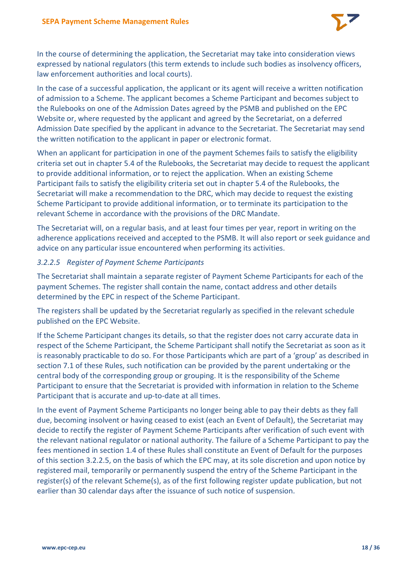

In the course of determining the application, the Secretariat may take into consideration views expressed by national regulators (this term extends to include such bodies as insolvency officers, law enforcement authorities and local courts).

In the case of a successful application, the applicant or its agent will receive a written notification of admission to a Scheme. The applicant becomes a Scheme Participant and becomes subject to the Rulebooks on one of the Admission Dates agreed by the PSMB and published on the EPC Website or, where requested by the applicant and agreed by the Secretariat, on a deferred Admission Date specified by the applicant in advance to the Secretariat. The Secretariat may send the written notification to the applicant in paper or electronic format.

When an applicant for participation in one of the payment Schemes fails to satisfy the eligibility criteria set out in chapter 5.4 of the Rulebooks, the Secretariat may decide to request the applicant to provide additional information, or to reject the application. When an existing Scheme Participant fails to satisfy the eligibility criteria set out in chapter 5.4 of the Rulebooks, the Secretariat will make a recommendation to the DRC, which may decide to request the existing Scheme Participant to provide additional information, or to terminate its participation to the relevant Scheme in accordance with the provisions of the DRC Mandate.

The Secretariat will, on a regular basis, and at least four times per year, report in writing on the adherence applications received and accepted to the PSMB. It will also report or seek guidance and advice on any particular issue encountered when performing its activities.

# <span id="page-17-0"></span>*3.2.2.5 Register of Payment Scheme Participants*

The Secretariat shall maintain a separate register of Payment Scheme Participants for each of the payment Schemes. The register shall contain the name, contact address and other details determined by the EPC in respect of the Scheme Participant.

The registers shall be updated by the Secretariat regularly as specified in the relevant schedule published on the EPC Website.

If the Scheme Participant changes its details, so that the register does not carry accurate data in respect of the Scheme Participant, the Scheme Participant shall notify the Secretariat as soon as it is reasonably practicable to do so. For those Participants which are part of a 'group' as described in sectio[n 7.1](#page-31-1) of these Rules, such notification can be provided by the parent undertaking or the central body of the corresponding group or grouping. It is the responsibility of the Scheme Participant to ensure that the Secretariat is provided with information in relation to the Scheme Participant that is accurate and up-to-date at all times.

In the event of Payment Scheme Participants no longer being able to pay their debts as they fall due, becoming insolvent or having ceased to exist (each an Event of Default), the Secretariat may decide to rectify the register of Payment Scheme Participants after verification of such event with the relevant national regulator or national authority. The failure of a Scheme Participant to pay the fees mentioned in sectio[n 1.4](#page-7-0) of these Rules shall constitute an Event of Default for the purposes of this section [3.2.2.5,](#page-17-0) on the basis of which the EPC may, at its sole discretion and upon notice by registered mail, temporarily or permanently suspend the entry of the Scheme Participant in the register(s) of the relevant Scheme(s), as of the first following register update publication, but not earlier than 30 calendar days after the issuance of such notice of suspension.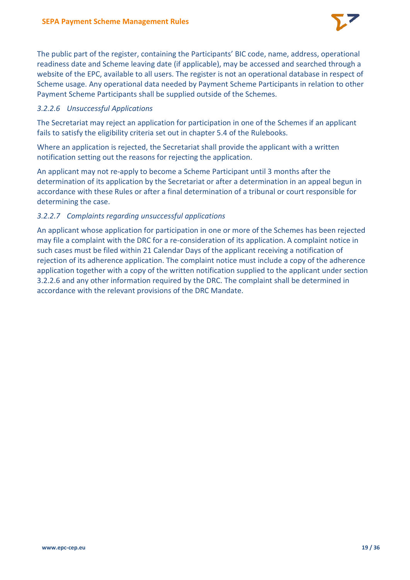

The public part of the register, containing the Participants' BIC code, name, address, operational readiness date and Scheme leaving date (if applicable), may be accessed and searched through a website of the EPC, available to all users. The register is not an operational database in respect of Scheme usage. Any operational data needed by Payment Scheme Participants in relation to other Payment Scheme Participants shall be supplied outside of the Schemes.

#### <span id="page-18-0"></span>*3.2.2.6 Unsuccessful Applications*

The Secretariat may reject an application for participation in one of the Schemes if an applicant fails to satisfy the eligibility criteria set out in chapter 5.4 of the Rulebooks.

Where an application is rejected, the Secretariat shall provide the applicant with a written notification setting out the reasons for rejecting the application.

An applicant may not re-apply to become a Scheme Participant until 3 months after the determination of its application by the Secretariat or after a determination in an appeal begun in accordance with these Rules or after a final determination of a tribunal or court responsible for determining the case.

#### *3.2.2.7 Complaints regarding unsuccessful applications*

An applicant whose application for participation in one or more of the Schemes has been rejected may file a complaint with the DRC for a re-consideration of its application. A complaint notice in such cases must be filed within 21 Calendar Days of the applicant receiving a notification of rejection of its adherence application. The complaint notice must include a copy of the adherence application together with a copy of the written notification supplied to the applicant under section [3.2.2.6](#page-18-0) and any other information required by the DRC. The complaint shall be determined in accordance with the relevant provisions of the DRC Mandate.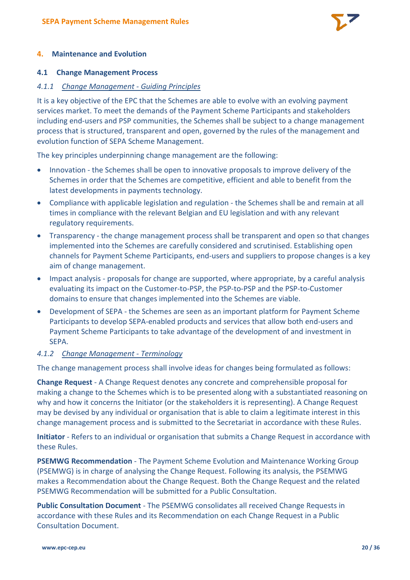

#### <span id="page-19-0"></span>**4. Maintenance and Evolution**

#### <span id="page-19-1"></span>**4.1 Change Management Process**

#### <span id="page-19-2"></span>*4.1.1 Change Management - Guiding Principles*

It is a key objective of the EPC that the Schemes are able to evolve with an evolving payment services market. To meet the demands of the Payment Scheme Participants and stakeholders including end-users and PSP communities, the Schemes shall be subject to a change management process that is structured, transparent and open, governed by the rules of the management and evolution function of SEPA Scheme Management.

The key principles underpinning change management are the following:

- Innovation the Schemes shall be open to innovative proposals to improve delivery of the Schemes in order that the Schemes are competitive, efficient and able to benefit from the latest developments in payments technology.
- Compliance with applicable legislation and regulation the Schemes shall be and remain at all times in compliance with the relevant Belgian and EU legislation and with any relevant regulatory requirements.
- Transparency the change management process shall be transparent and open so that changes implemented into the Schemes are carefully considered and scrutinised. Establishing open channels for Payment Scheme Participants, end-users and suppliers to propose changes is a key aim of change management.
- Impact analysis proposals for change are supported, where appropriate, by a careful analysis evaluating its impact on the Customer-to-PSP, the PSP-to-PSP and the PSP-to-Customer domains to ensure that changes implemented into the Schemes are viable.
- Development of SEPA the Schemes are seen as an important platform for Payment Scheme Participants to develop SEPA-enabled products and services that allow both end-users and Payment Scheme Participants to take advantage of the development of and investment in SEPA.

#### <span id="page-19-3"></span>*4.1.2 Change Management - Terminology*

The change management process shall involve ideas for changes being formulated as follows:

**Change Request** - A Change Request denotes any concrete and comprehensible proposal for making a change to the Schemes which is to be presented along with a substantiated reasoning on why and how it concerns the Initiator (or the stakeholders it is representing). A Change Request may be devised by any individual or organisation that is able to claim a legitimate interest in this change management process and is submitted to the Secretariat in accordance with these Rules.

**Initiator** - Refers to an individual or organisation that submits a Change Request in accordance with these Rules.

**PSEMWG Recommendation** - The Payment Scheme Evolution and Maintenance Working Group (PSEMWG) is in charge of analysing the Change Request. Following its analysis, the PSEMWG makes a Recommendation about the Change Request. Both the Change Request and the related PSEMWG Recommendation will be submitted for a Public Consultation.

**Public Consultation Document** - The PSEMWG consolidates all received Change Requests in accordance with these Rules and its Recommendation on each Change Request in a Public Consultation Document.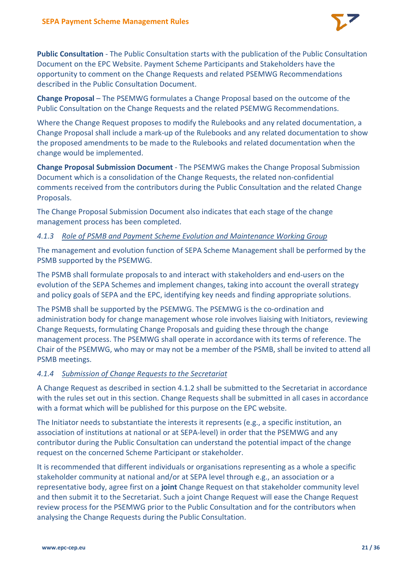

**Public Consultation** - The Public Consultation starts with the publication of the Public Consultation Document on the EPC Website. Payment Scheme Participants and Stakeholders have the opportunity to comment on the Change Requests and related PSEMWG Recommendations described in the Public Consultation Document.

**Change Proposal** – The PSEMWG formulates a Change Proposal based on the outcome of the Public Consultation on the Change Requests and the related PSEMWG Recommendations.

Where the Change Request proposes to modify the Rulebooks and any related documentation, a Change Proposal shall include a mark-up of the Rulebooks and any related documentation to show the proposed amendments to be made to the Rulebooks and related documentation when the change would be implemented.

**Change Proposal Submission Document** - The PSEMWG makes the Change Proposal Submission Document which is a consolidation of the Change Requests, the related non-confidential comments received from the contributors during the Public Consultation and the related Change Proposals.

The Change Proposal Submission Document also indicates that each stage of the change management process has been completed.

# <span id="page-20-0"></span>*4.1.3 Role of PSMB and Payment Scheme Evolution and Maintenance Working Group*

The management and evolution function of SEPA Scheme Management shall be performed by the PSMB supported by the PSEMWG.

The PSMB shall formulate proposals to and interact with stakeholders and end-users on the evolution of the SEPA Schemes and implement changes, taking into account the overall strategy and policy goals of SEPA and the EPC, identifying key needs and finding appropriate solutions.

The PSMB shall be supported by the PSEMWG. The PSEMWG is the co-ordination and administration body for change management whose role involves liaising with Initiators, reviewing Change Requests, formulating Change Proposals and guiding these through the change management process. The PSEMWG shall operate in accordance with its terms of reference. The Chair of the PSEMWG, who may or may not be a member of the PSMB, shall be invited to attend all PSMB meetings.

# <span id="page-20-1"></span>*4.1.4 Submission of Change Requests to the Secretariat*

A Change Request as described in section [4.1.2](#page-19-3) shall be submitted to the Secretariat in accordance with the rules set out in this section. Change Requests shall be submitted in all cases in accordance with a format which will be published for this purpose on the EPC website.

The Initiator needs to substantiate the interests it represents (e.g., a specific institution, an association of institutions at national or at SEPA-level) in order that the PSEMWG and any contributor during the Public Consultation can understand the potential impact of the change request on the concerned Scheme Participant or stakeholder.

It is recommended that different individuals or organisations representing as a whole a specific stakeholder community at national and/or at SEPA level through e.g., an association or a representative body, agree first on a **joint** Change Request on that stakeholder community level and then submit it to the Secretariat. Such a joint Change Request will ease the Change Request review process for the PSEMWG prior to the Public Consultation and for the contributors when analysing the Change Requests during the Public Consultation.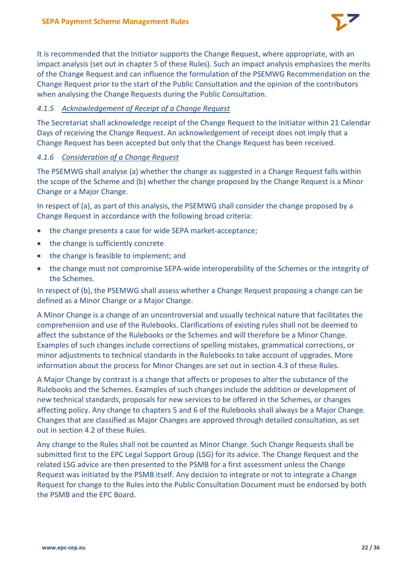

It is recommended that the Initiator supports the Change Request, where appropriate, with an impact analysis (set out in chapter [5](#page-29-0) of these Rules). Such an impact analysis emphasizes the merits of the Change Request and can influence the formulation of the PSEMWG Recommendation on the Change Request prior to the start of the Public Consultation and the opinion of the contributors when analysing the Change Requests during the Public Consultation.

# <span id="page-21-0"></span>*4.1.5 Acknowledgement of Receipt of a Change Request*

The Secretariat shall acknowledge receipt of the Change Request to the Initiator within 21 Calendar Days of receiving the Change Request. An acknowledgement of receipt does not imply that a Change Request has been accepted but only that the Change Request has been received.

#### <span id="page-21-1"></span>*4.1.6 Consideration of a Change Request*

The PSEMWG shall analyse (a) whether the change as suggested in a Change Request falls within the scope of the Scheme and (b) whether the change proposed by the Change Request is a Minor Change or a Major Change.

In respect of (a), as part of this analysis, the PSEMWG shall consider the change proposed by a Change Request in accordance with the following broad criteria:

- the change presents a case for wide SEPA market-acceptance;
- the change is sufficiently concrete
- the change is feasible to implement; and
- the change must not compromise SEPA-wide interoperability of the Schemes or the integrity of the Schemes.

In respect of (b), the PSEMWG shall assess whether a Change Request proposing a change can be defined as a Minor Change or a Major Change.

A Minor Change is a change of an uncontroversial and usually technical nature that facilitates the comprehension and use of the Rulebooks. Clarifications of existing rules shall not be deemed to affect the substance of the Rulebooks or the Schemes and will therefore be a Minor Change. Examples of such changes include corrections of spelling mistakes, grammatical corrections, or minor adjustments to technical standards in the Rulebooks to take account of upgrades. More information about the process for Minor Changes are set out in section [4.3](#page-26-2) of these Rules.

A Major Change by contrast is a change that affects or proposes to alter the substance of the Rulebooks and the Schemes. Examples of such changes include the addition or development of new technical standards, proposals for new services to be offered in the Schemes, or changes affecting policy. Any change to chapters 5 and 6 of the Rulebooks shall always be a Major Change. Changes that are classified as Major Changes are approved through detailed consultation, as set out in section [4.2](#page-22-1) of these Rules.

Any change to the Rules shall not be counted as Minor Change. Such Change Requests shall be submitted first to the EPC Legal Support Group (LSG) for its advice. The Change Request and the related LSG advice are then presented to the PSMB for a first assessment unless the Change Request was initiated by the PSMB itself. Any decision to integrate or not to integrate a Change Request for change to the Rules into the Public Consultation Document must be endorsed by both the PSMB and the EPC Board.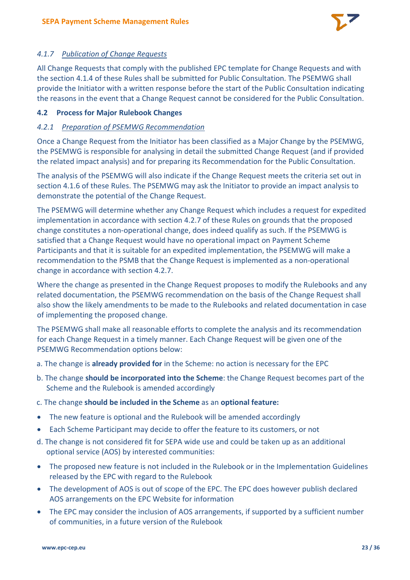

# <span id="page-22-0"></span>*4.1.7 Publication of Change Requests*

All Change Requests that comply with the published EPC template for Change Requests and with the sectio[n 4.1.4](#page-20-1) of these Rules shall be submitted for Public Consultation. The PSEMWG shall provide the Initiator with a written response before the start of the Public Consultation indicating the reasons in the event that a Change Request cannot be considered for the Public Consultation.

# <span id="page-22-1"></span>**4.2 Process for Major Rulebook Changes**

# <span id="page-22-2"></span>*4.2.1 Preparation of PSEMWG Recommendation*

Once a Change Request from the Initiator has been classified as a Major Change by the PSEMWG, the PSEMWG is responsible for analysing in detail the submitted Change Request (and if provided the related impact analysis) and for preparing its Recommendation for the Public Consultation.

The analysis of the PSEMWG will also indicate if the Change Request meets the criteria set out in sectio[n 4.1.6](#page-21-1) of these Rules. The PSEMWG may ask the Initiator to provide an impact analysis to demonstrate the potential of the Change Request.

The PSEMWG will determine whether any Change Request which includes a request for expedited implementation in accordance with section [4.2.7](#page-25-2) of these Rules on grounds that the proposed change constitutes a non-operational change, does indeed qualify as such. If the PSEMWG is satisfied that a Change Request would have no operational impact on Payment Scheme Participants and that it is suitable for an expedited implementation, the PSEMWG will make a recommendation to the PSMB that the Change Request is implemented as a non-operational change in accordance with section [4.2.7.](#page-25-2)

Where the change as presented in the Change Request proposes to modify the Rulebooks and any related documentation, the PSEMWG recommendation on the basis of the Change Request shall also show the likely amendments to be made to the Rulebooks and related documentation in case of implementing the proposed change.

The PSEMWG shall make all reasonable efforts to complete the analysis and its recommendation for each Change Request in a timely manner. Each Change Request will be given one of the PSEMWG Recommendation options below:

- a. The change is **already provided for** in the Scheme: no action is necessary for the EPC
- b. The change **should be incorporated into the Scheme**: the Change Request becomes part of the Scheme and the Rulebook is amended accordingly
- c. The change **should be included in the Scheme** as an **optional feature:**
- The new feature is optional and the Rulebook will be amended accordingly
- Each Scheme Participant may decide to offer the feature to its customers, or not
- d. The change is not considered fit for SEPA wide use and could be taken up as an additional optional service (AOS) by interested communities:
- The proposed new feature is not included in the Rulebook or in the Implementation Guidelines released by the EPC with regard to the Rulebook
- The development of AOS is out of scope of the EPC. The EPC does however publish declared AOS arrangements on the EPC Website for information
- The EPC may consider the inclusion of AOS arrangements, if supported by a sufficient number of communities, in a future version of the Rulebook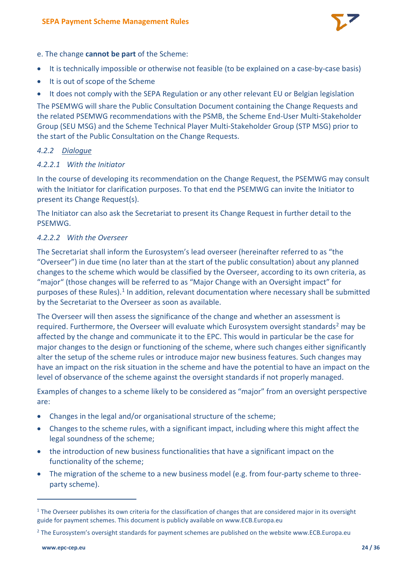

e. The change **cannot be part** of the Scheme:

- It is technically impossible or otherwise not feasible (to be explained on a case-by-case basis)
- It is out of scope of the Scheme
- It does not comply with the SEPA Regulation or any other relevant EU or Belgian legislation

The PSEMWG will share the Public Consultation Document containing the Change Requests and the related PSEMWG recommendations with the PSMB, the Scheme End-User Multi-Stakeholder Group (SEU MSG) and the Scheme Technical Player Multi-Stakeholder Group (STP MSG) prior to the start of the Public Consultation on the Change Requests.

# <span id="page-23-0"></span>*4.2.2 Dialogue*

# *4.2.2.1 With the Initiator*

In the course of developing its recommendation on the Change Request, the PSEMWG may consult with the Initiator for clarification purposes. To that end the PSEMWG can invite the Initiator to present its Change Request(s).

The Initiator can also ask the Secretariat to present its Change Request in further detail to the PSEMWG.

# *4.2.2.2 With the Overseer*

The Secretariat shall inform the Eurosystem's lead overseer (hereinafter referred to as "the "Overseer") in due time (no later than at the start of the public consultation) about any planned changes to the scheme which would be classified by the Overseer, according to its own criteria, as "major" (those changes will be referred to as "Major Change with an Oversight impact" for purposes of these Rules).<sup>[1](#page-23-1)</sup> In addition, relevant documentation where necessary shall be submitted by the Secretariat to the Overseer as soon as available.

The Overseer will then assess the significance of the change and whether an assessment is required. Furthermore, the Overseer will evaluate which Eurosystem oversight standards<sup>[2](#page-23-2)</sup> may be affected by the change and communicate it to the EPC. This would in particular be the case for major changes to the design or functioning of the scheme, where such changes either significantly alter the setup of the scheme rules or introduce major new business features. Such changes may have an impact on the risk situation in the scheme and have the potential to have an impact on the level of observance of the scheme against the oversight standards if not properly managed.

Examples of changes to a scheme likely to be considered as "major" from an oversight perspective are:

- Changes in the legal and/or organisational structure of the scheme;
- Changes to the scheme rules, with a significant impact, including where this might affect the legal soundness of the scheme;
- the introduction of new business functionalities that have a significant impact on the functionality of the scheme;
- The migration of the scheme to a new business model (e.g. from four-party scheme to threeparty scheme).

<span id="page-23-1"></span> $1$  The Overseer publishes its own criteria for the classification of changes that are considered major in its oversight guide for payment schemes. This document is publicly available on www.ECB.Europa.eu

<span id="page-23-2"></span><sup>&</sup>lt;sup>2</sup> The Eurosystem's oversight standards for payment schemes are published on the website www.ECB.Europa.eu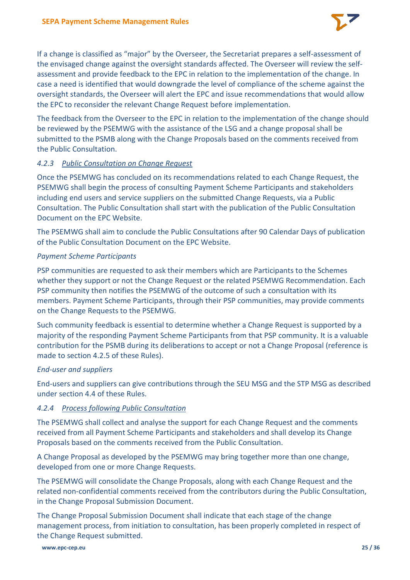

If a change is classified as "major" by the Overseer, the Secretariat prepares a self-assessment of the envisaged change against the oversight standards affected. The Overseer will review the selfassessment and provide feedback to the EPC in relation to the implementation of the change. In case a need is identified that would downgrade the level of compliance of the scheme against the oversight standards, the Overseer will alert the EPC and issue recommendations that would allow the EPC to reconsider the relevant Change Request before implementation.

The feedback from the Overseer to the EPC in relation to the implementation of the change should be reviewed by the PSEMWG with the assistance of the LSG and a change proposal shall be submitted to the PSMB along with the Change Proposals based on the comments received from the Public Consultation.

# <span id="page-24-0"></span>*4.2.3 Public Consultation on Change Request*

Once the PSEMWG has concluded on its recommendations related to each Change Request, the PSEMWG shall begin the process of consulting Payment Scheme Participants and stakeholders including end users and service suppliers on the submitted Change Requests, via a Public Consultation. The Public Consultation shall start with the publication of the Public Consultation Document on the EPC Website.

The PSEMWG shall aim to conclude the Public Consultations after 90 Calendar Days of publication of the Public Consultation Document on the EPC Website.

#### *Payment Scheme Participants*

PSP communities are requested to ask their members which are Participants to the Schemes whether they support or not the Change Request or the related PSEMWG Recommendation. Each PSP community then notifies the PSEMWG of the outcome of such a consultation with its members. Payment Scheme Participants, through their PSP communities, may provide comments on the Change Requests to the PSEMWG.

Such community feedback is essential to determine whether a Change Request is supported by a majority of the responding Payment Scheme Participants from that PSP community. It is a valuable contribution for the PSMB during its deliberations to accept or not a Change Proposal (reference is made to section [4.2.5](#page-25-0) of these Rules).

#### *End-user and suppliers*

End-users and suppliers can give contributions through the SEU MSG and the STP MSG as described under section [4.4](#page-27-0) of these Rules.

# <span id="page-24-1"></span>*4.2.4 Process following Public Consultation*

The PSEMWG shall collect and analyse the support for each Change Request and the comments received from all Payment Scheme Participants and stakeholders and shall develop its Change Proposals based on the comments received from the Public Consultation.

A Change Proposal as developed by the PSEMWG may bring together more than one change, developed from one or more Change Requests.

The PSEMWG will consolidate the Change Proposals, along with each Change Request and the related non-confidential comments received from the contributors during the Public Consultation, in the Change Proposal Submission Document.

The Change Proposal Submission Document shall indicate that each stage of the change management process, from initiation to consultation, has been properly completed in respect of the Change Request submitted.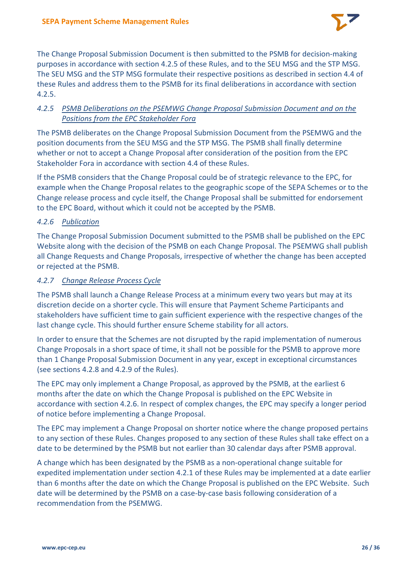

The Change Proposal Submission Document is then submitted to the PSMB for decision-making purposes in accordance with section [4.2.5](#page-25-0) of these Rules, and to the SEU MSG and the STP MSG. The SEU MSG and the STP MSG formulate their respective positions as described in section [4.4](#page-27-0) of these Rules and address them to the PSMB for its final deliberations in accordance with section [4.2.5.](#page-25-0)

# <span id="page-25-0"></span>*4.2.5 PSMB Deliberations on the PSEMWG Change Proposal Submission Document and on the Positions from the EPC Stakeholder Fora*

The PSMB deliberates on the Change Proposal Submission Document from the PSEMWG and the position documents from the SEU MSG and the STP MSG. The PSMB shall finally determine whether or not to accept a Change Proposal after consideration of the position from the EPC Stakeholder Fora in accordance with section [4.4](#page-27-0) of these Rules.

If the PSMB considers that the Change Proposal could be of strategic relevance to the EPC, for example when the Change Proposal relates to the geographic scope of the SEPA Schemes or to the Change release process and cycle itself, the Change Proposal shall be submitted for endorsement to the EPC Board, without which it could not be accepted by the PSMB.

# <span id="page-25-1"></span>*4.2.6 Publication*

The Change Proposal Submission Document submitted to the PSMB shall be published on the EPC Website along with the decision of the PSMB on each Change Proposal. The PSEMWG shall publish all Change Requests and Change Proposals, irrespective of whether the change has been accepted or rejected at the PSMB.

# <span id="page-25-2"></span>*4.2.7 Change Release Process Cycle*

The PSMB shall launch a Change Release Process at a minimum every two years but may at its discretion decide on a shorter cycle. This will ensure that Payment Scheme Participants and stakeholders have sufficient time to gain sufficient experience with the respective changes of the last change cycle. This should further ensure Scheme stability for all actors.

In order to ensure that the Schemes are not disrupted by the rapid implementation of numerous Change Proposals in a short space of time, it shall not be possible for the PSMB to approve more than 1 Change Proposal Submission Document in any year, except in exceptional circumstances (see sections [4.2.8](#page-26-0) and [4.2.9](#page-26-1) of the Rules).

The EPC may only implement a Change Proposal, as approved by the PSMB, at the earliest 6 months after the date on which the Change Proposal is published on the EPC Website in accordance with sectio[n 4.2.6.](#page-25-1) In respect of complex changes, the EPC may specify a longer period of notice before implementing a Change Proposal.

The EPC may implement a Change Proposal on shorter notice where the change proposed pertains to any section of these Rules. Changes proposed to any section of these Rules shall take effect on a date to be determined by the PSMB but not earlier than 30 calendar days after PSMB approval.

A change which has been designated by the PSMB as a non-operational change suitable for expedited implementation under section [4.2.1](#page-22-2) of these Rules may be implemented at a date earlier than 6 months after the date on which the Change Proposal is published on the EPC Website. Such date will be determined by the PSMB on a case-by-case basis following consideration of a recommendation from the PSEMWG.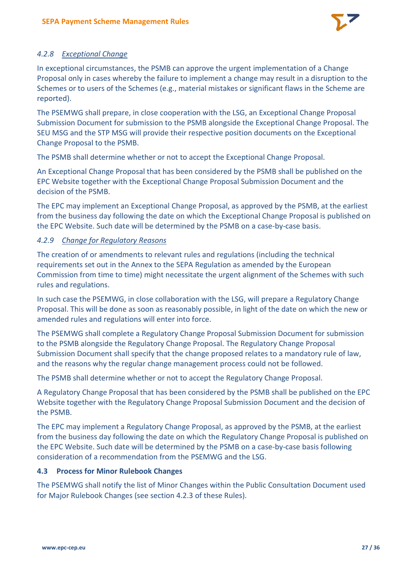

# <span id="page-26-0"></span>*4.2.8 Exceptional Change*

In exceptional circumstances, the PSMB can approve the urgent implementation of a Change Proposal only in cases whereby the failure to implement a change may result in a disruption to the Schemes or to users of the Schemes (e.g., material mistakes or significant flaws in the Scheme are reported).

The PSEMWG shall prepare, in close cooperation with the LSG, an Exceptional Change Proposal Submission Document for submission to the PSMB alongside the Exceptional Change Proposal. The SEU MSG and the STP MSG will provide their respective position documents on the Exceptional Change Proposal to the PSMB.

The PSMB shall determine whether or not to accept the Exceptional Change Proposal.

An Exceptional Change Proposal that has been considered by the PSMB shall be published on the EPC Website together with the Exceptional Change Proposal Submission Document and the decision of the PSMB.

The EPC may implement an Exceptional Change Proposal, as approved by the PSMB, at the earliest from the business day following the date on which the Exceptional Change Proposal is published on the EPC Website. Such date will be determined by the PSMB on a case-by-case basis.

# <span id="page-26-1"></span>*4.2.9 Change for Regulatory Reasons*

The creation of or amendments to relevant rules and regulations (including the technical requirements set out in the Annex to the SEPA Regulation as amended by the European Commission from time to time) might necessitate the urgent alignment of the Schemes with such rules and regulations.

In such case the PSEMWG, in close collaboration with the LSG, will prepare a Regulatory Change Proposal. This will be done as soon as reasonably possible, in light of the date on which the new or amended rules and regulations will enter into force.

The PSEMWG shall complete a Regulatory Change Proposal Submission Document for submission to the PSMB alongside the Regulatory Change Proposal. The Regulatory Change Proposal Submission Document shall specify that the change proposed relates to a mandatory rule of law, and the reasons why the regular change management process could not be followed.

The PSMB shall determine whether or not to accept the Regulatory Change Proposal.

A Regulatory Change Proposal that has been considered by the PSMB shall be published on the EPC Website together with the Regulatory Change Proposal Submission Document and the decision of the PSMB.

The EPC may implement a Regulatory Change Proposal, as approved by the PSMB, at the earliest from the business day following the date on which the Regulatory Change Proposal is published on the EPC Website. Such date will be determined by the PSMB on a case-by-case basis following consideration of a recommendation from the PSEMWG and the LSG.

# <span id="page-26-2"></span>**4.3 Process for Minor Rulebook Changes**

The PSEMWG shall notify the list of Minor Changes within the Public Consultation Document used for Major Rulebook Changes (see section [4.2.3](#page-24-0) of these Rules).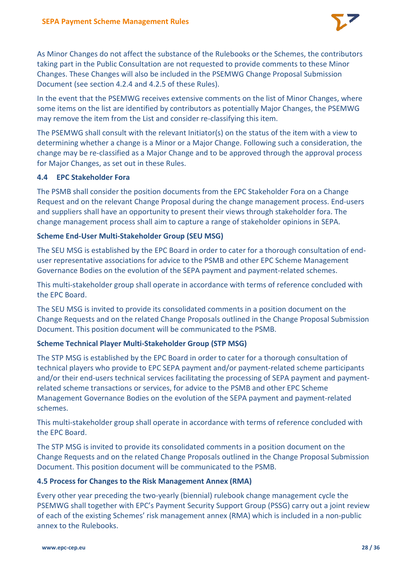

As Minor Changes do not affect the substance of the Rulebooks or the Schemes, the contributors taking part in the Public Consultation are not requested to provide comments to these Minor Changes. These Changes will also be included in the PSEMWG Change Proposal Submission Document (see section [4.2.4](#page-24-1) and [4.2.5](#page-25-0) of these Rules).

In the event that the PSEMWG receives extensive comments on the list of Minor Changes, where some items on the list are identified by contributors as potentially Major Changes, the PSEMWG may remove the item from the List and consider re-classifying this item.

The PSEMWG shall consult with the relevant Initiator(s) on the status of the item with a view to determining whether a change is a Minor or a Major Change. Following such a consideration, the change may be re-classified as a Major Change and to be approved through the approval process for Major Changes, as set out in these Rules.

# <span id="page-27-0"></span>**4.4 EPC Stakeholder Fora**

The PSMB shall consider the position documents from the EPC Stakeholder Fora on a Change Request and on the relevant Change Proposal during the change management process. End-users and suppliers shall have an opportunity to present their views through stakeholder fora. The change management process shall aim to capture a range of stakeholder opinions in SEPA.

# **Scheme End-User Multi-Stakeholder Group (SEU MSG)**

The SEU MSG is established by the EPC Board in order to cater for a thorough consultation of enduser representative associations for advice to the PSMB and other EPC Scheme Management Governance Bodies on the evolution of the SEPA payment and payment-related schemes.

This multi-stakeholder group shall operate in accordance with terms of reference concluded with the EPC Board.

The SEU MSG is invited to provide its consolidated comments in a position document on the Change Requests and on the related Change Proposals outlined in the Change Proposal Submission Document. This position document will be communicated to the PSMB.

#### **Scheme Technical Player Multi-Stakeholder Group (STP MSG)**

The STP MSG is established by the EPC Board in order to cater for a thorough consultation of technical players who provide to EPC SEPA payment and/or payment-related scheme participants and/or their end-users technical services facilitating the processing of SEPA payment and paymentrelated scheme transactions or services, for advice to the PSMB and other EPC Scheme Management Governance Bodies on the evolution of the SEPA payment and payment-related schemes.

This multi-stakeholder group shall operate in accordance with terms of reference concluded with the EPC Board.

The STP MSG is invited to provide its consolidated comments in a position document on the Change Requests and on the related Change Proposals outlined in the Change Proposal Submission Document. This position document will be communicated to the PSMB.

#### <span id="page-27-1"></span>**4.5 Process for Changes to the Risk Management Annex (RMA)**

Every other year preceding the two-yearly (biennial) rulebook change management cycle the PSEMWG shall together with EPC's Payment Security Support Group (PSSG) carry out a joint review of each of the existing Schemes' risk management annex (RMA) which is included in a non-public annex to the Rulebooks.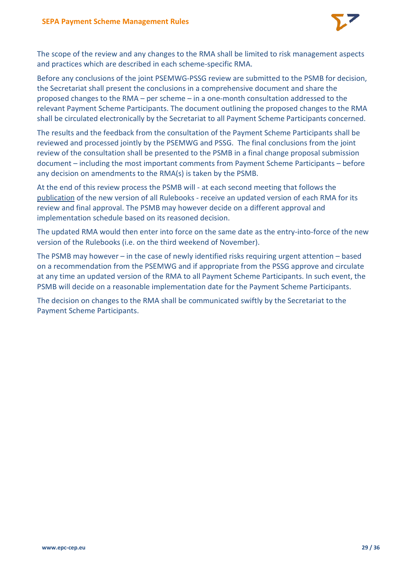

The scope of the review and any changes to the RMA shall be limited to risk management aspects and practices which are described in each scheme-specific RMA.

Before any conclusions of the joint PSEMWG-PSSG review are submitted to the PSMB for decision, the Secretariat shall present the conclusions in a comprehensive document and share the proposed changes to the RMA – per scheme – in a one-month consultation addressed to the relevant Payment Scheme Participants. The document outlining the proposed changes to the RMA shall be circulated electronically by the Secretariat to all Payment Scheme Participants concerned.

The results and the feedback from the consultation of the Payment Scheme Participants shall be reviewed and processed jointly by the PSEMWG and PSSG. The final conclusions from the joint review of the consultation shall be presented to the PSMB in a final change proposal submission document – including the most important comments from Payment Scheme Participants – before any decision on amendments to the RMA(s) is taken by the PSMB.

At the end of this review process the PSMB will - at each second meeting that follows the publication of the new version of all Rulebooks - receive an updated version of each RMA for its review and final approval. The PSMB may however decide on a different approval and implementation schedule based on its reasoned decision.

The updated RMA would then enter into force on the same date as the entry-into-force of the new version of the Rulebooks (i.e. on the third weekend of November).

The PSMB may however – in the case of newly identified risks requiring urgent attention – based on a recommendation from the PSEMWG and if appropriate from the PSSG approve and circulate at any time an updated version of the RMA to all Payment Scheme Participants. In such event, the PSMB will decide on a reasonable implementation date for the Payment Scheme Participants.

The decision on changes to the RMA shall be communicated swiftly by the Secretariat to the Payment Scheme Participants.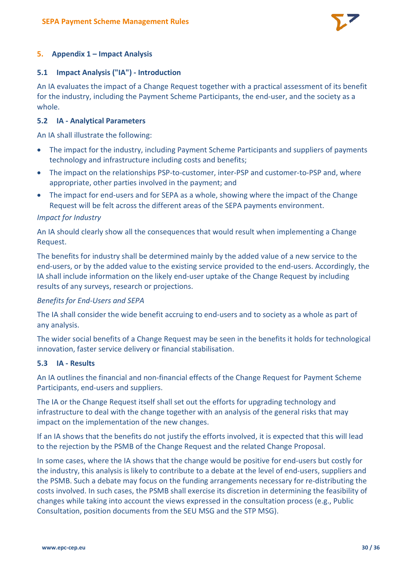

# <span id="page-29-0"></span>**5. Appendix 1 – Impact Analysis**

#### <span id="page-29-1"></span>**5.1 Impact Analysis ("IA") - Introduction**

An IA evaluates the impact of a Change Request together with a practical assessment of its benefit for the industry, including the Payment Scheme Participants, the end-user, and the society as a whole.

#### <span id="page-29-2"></span>**5.2 IA - Analytical Parameters**

An IA shall illustrate the following:

- The impact for the industry, including Payment Scheme Participants and suppliers of payments technology and infrastructure including costs and benefits;
- The impact on the relationships PSP-to-customer, inter-PSP and customer-to-PSP and, where appropriate, other parties involved in the payment; and
- The impact for end-users and for SEPA as a whole, showing where the impact of the Change Request will be felt across the different areas of the SEPA payments environment.

#### *Impact for Industry*

An IA should clearly show all the consequences that would result when implementing a Change Request.

The benefits for industry shall be determined mainly by the added value of a new service to the end-users, or by the added value to the existing service provided to the end-users. Accordingly, the IA shall include information on the likely end-user uptake of the Change Request by including results of any surveys, research or projections.

#### *Benefits for End-Users and SEPA*

The IA shall consider the wide benefit accruing to end-users and to society as a whole as part of any analysis.

The wider social benefits of a Change Request may be seen in the benefits it holds for technological innovation, faster service delivery or financial stabilisation.

#### <span id="page-29-3"></span>**5.3 IA - Results**

An IA outlines the financial and non-financial effects of the Change Request for Payment Scheme Participants, end-users and suppliers.

The IA or the Change Request itself shall set out the efforts for upgrading technology and infrastructure to deal with the change together with an analysis of the general risks that may impact on the implementation of the new changes.

If an IA shows that the benefits do not justify the efforts involved, it is expected that this will lead to the rejection by the PSMB of the Change Request and the related Change Proposal.

In some cases, where the IA shows that the change would be positive for end-users but costly for the industry, this analysis is likely to contribute to a debate at the level of end-users, suppliers and the PSMB. Such a debate may focus on the funding arrangements necessary for re-distributing the costs involved. In such cases, the PSMB shall exercise its discretion in determining the feasibility of changes while taking into account the views expressed in the consultation process (e.g., Public Consultation, position documents from the SEU MSG and the STP MSG).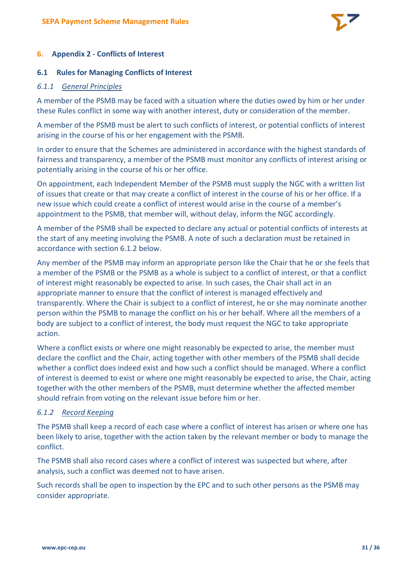

# <span id="page-30-0"></span>**6. Appendix 2 - Conflicts of Interest**

#### <span id="page-30-1"></span>**6.1 Rules for Managing Conflicts of Interest**

#### <span id="page-30-2"></span>*6.1.1 General Principles*

A member of the PSMB may be faced with a situation where the duties owed by him or her under these Rules conflict in some way with another interest, duty or consideration of the member.

A member of the PSMB must be alert to such conflicts of interest, or potential conflicts of interest arising in the course of his or her engagement with the PSMB.

In order to ensure that the Schemes are administered in accordance with the highest standards of fairness and transparency, a member of the PSMB must monitor any conflicts of interest arising or potentially arising in the course of his or her office.

On appointment, each Independent Member of the PSMB must supply the NGC with a written list of issues that create or that may create a conflict of interest in the course of his or her office. If a new issue which could create a conflict of interest would arise in the course of a member's appointment to the PSMB, that member will, without delay, inform the NGC accordingly.

A member of the PSMB shall be expected to declare any actual or potential conflicts of interests at the start of any meeting involving the PSMB. A note of such a declaration must be retained in accordance with section 6.1.2 below.

Any member of the PSMB may inform an appropriate person like the Chair that he or she feels that a member of the PSMB or the PSMB as a whole is subject to a conflict of interest, or that a conflict of interest might reasonably be expected to arise. In such cases, the Chair shall act in an appropriate manner to ensure that the conflict of interest is managed effectively and transparently. Where the Chair is subject to a conflict of interest, he or she may nominate another person within the PSMB to manage the conflict on his or her behalf. Where all the members of a body are subject to a conflict of interest, the body must request the NGC to take appropriate action.

Where a conflict exists or where one might reasonably be expected to arise, the member must declare the conflict and the Chair, acting together with other members of the PSMB shall decide whether a conflict does indeed exist and how such a conflict should be managed. Where a conflict of interest is deemed to exist or where one might reasonably be expected to arise, the Chair, acting together with the other members of the PSMB, must determine whether the affected member should refrain from voting on the relevant issue before him or her.

# <span id="page-30-3"></span>*6.1.2 Record Keeping*

The PSMB shall keep a record of each case where a conflict of interest has arisen or where one has been likely to arise, together with the action taken by the relevant member or body to manage the conflict.

The PSMB shall also record cases where a conflict of interest was suspected but where, after analysis, such a conflict was deemed not to have arisen.

Such records shall be open to inspection by the EPC and to such other persons as the PSMB may consider appropriate.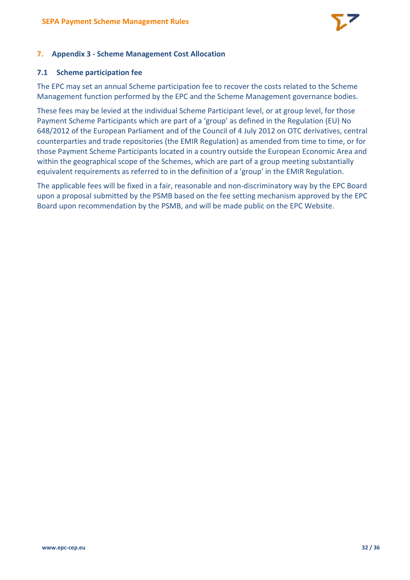

# <span id="page-31-0"></span>**7. Appendix 3 - Scheme Management Cost Allocation**

#### <span id="page-31-1"></span>**7.1 Scheme participation fee**

The EPC may set an annual Scheme participation fee to recover the costs related to the Scheme Management function performed by the EPC and the Scheme Management governance bodies.

These fees may be levied at the individual Scheme Participant level, or at group level, for those Payment Scheme Participants which are part of a 'group' as defined in the Regulation (EU) No 648/2012 of the European Parliament and of the Council of 4 July 2012 on OTC derivatives, central counterparties and trade repositories (the EMIR Regulation) as amended from time to time, or for those Payment Scheme Participants located in a country outside the European Economic Area and within the geographical scope of the Schemes, which are part of a group meeting substantially equivalent requirements as referred to in the definition of a 'group' in the EMIR Regulation.

The applicable fees will be fixed in a fair, reasonable and non-discriminatory way by the EPC Board upon a proposal submitted by the PSMB based on the fee setting mechanism approved by the EPC Board upon recommendation by the PSMB, and will be made public on the EPC Website.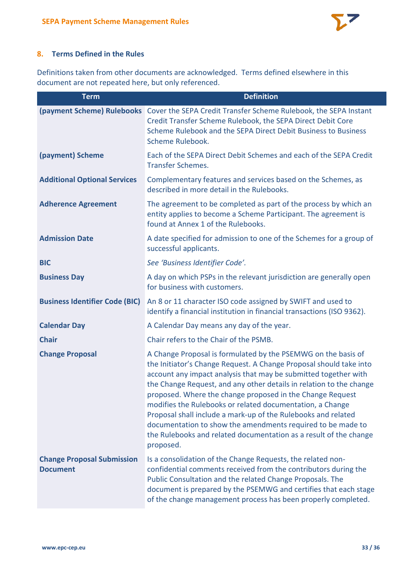

# <span id="page-32-0"></span>**8. Terms Defined in the Rules**

Definitions taken from other documents are acknowledged. Terms defined elsewhere in this document are not repeated here, but only referenced.

| <b>Term</b>                                          | <b>Definition</b>                                                                                                                                                                                                                                                                                                                                                                                                                                                                                                                                                                                                         |
|------------------------------------------------------|---------------------------------------------------------------------------------------------------------------------------------------------------------------------------------------------------------------------------------------------------------------------------------------------------------------------------------------------------------------------------------------------------------------------------------------------------------------------------------------------------------------------------------------------------------------------------------------------------------------------------|
|                                                      | (payment Scheme) Rulebooks Cover the SEPA Credit Transfer Scheme Rulebook, the SEPA Instant<br>Credit Transfer Scheme Rulebook, the SEPA Direct Debit Core<br>Scheme Rulebook and the SEPA Direct Debit Business to Business<br>Scheme Rulebook.                                                                                                                                                                                                                                                                                                                                                                          |
| (payment) Scheme                                     | Each of the SEPA Direct Debit Schemes and each of the SEPA Credit<br><b>Transfer Schemes.</b>                                                                                                                                                                                                                                                                                                                                                                                                                                                                                                                             |
| <b>Additional Optional Services</b>                  | Complementary features and services based on the Schemes, as<br>described in more detail in the Rulebooks.                                                                                                                                                                                                                                                                                                                                                                                                                                                                                                                |
| <b>Adherence Agreement</b>                           | The agreement to be completed as part of the process by which an<br>entity applies to become a Scheme Participant. The agreement is<br>found at Annex 1 of the Rulebooks.                                                                                                                                                                                                                                                                                                                                                                                                                                                 |
| <b>Admission Date</b>                                | A date specified for admission to one of the Schemes for a group of<br>successful applicants.                                                                                                                                                                                                                                                                                                                                                                                                                                                                                                                             |
| <b>BIC</b>                                           | See 'Business Identifier Code'.                                                                                                                                                                                                                                                                                                                                                                                                                                                                                                                                                                                           |
| <b>Business Day</b>                                  | A day on which PSPs in the relevant jurisdiction are generally open<br>for business with customers.                                                                                                                                                                                                                                                                                                                                                                                                                                                                                                                       |
| <b>Business Identifier Code (BIC)</b>                | An 8 or 11 character ISO code assigned by SWIFT and used to<br>identify a financial institution in financial transactions (ISO 9362).                                                                                                                                                                                                                                                                                                                                                                                                                                                                                     |
| <b>Calendar Day</b>                                  | A Calendar Day means any day of the year.                                                                                                                                                                                                                                                                                                                                                                                                                                                                                                                                                                                 |
| <b>Chair</b>                                         | Chair refers to the Chair of the PSMB.                                                                                                                                                                                                                                                                                                                                                                                                                                                                                                                                                                                    |
| <b>Change Proposal</b>                               | A Change Proposal is formulated by the PSEMWG on the basis of<br>the Initiator's Change Request. A Change Proposal should take into<br>account any impact analysis that may be submitted together with<br>the Change Request, and any other details in relation to the change<br>proposed. Where the change proposed in the Change Request<br>modifies the Rulebooks or related documentation, a Change<br>Proposal shall include a mark-up of the Rulebooks and related<br>documentation to show the amendments required to be made to<br>the Rulebooks and related documentation as a result of the change<br>proposed. |
| <b>Change Proposal Submission</b><br><b>Document</b> | Is a consolidation of the Change Requests, the related non-<br>confidential comments received from the contributors during the<br>Public Consultation and the related Change Proposals. The<br>document is prepared by the PSEMWG and certifies that each stage<br>of the change management process has been properly completed.                                                                                                                                                                                                                                                                                          |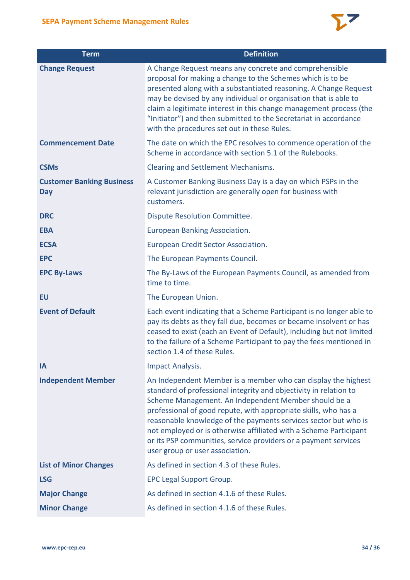

| <b>Term</b>                                    | <b>Definition</b>                                                                                                                                                                                                                                                                                                                                                                                                                                                                                           |
|------------------------------------------------|-------------------------------------------------------------------------------------------------------------------------------------------------------------------------------------------------------------------------------------------------------------------------------------------------------------------------------------------------------------------------------------------------------------------------------------------------------------------------------------------------------------|
| <b>Change Request</b>                          | A Change Request means any concrete and comprehensible<br>proposal for making a change to the Schemes which is to be<br>presented along with a substantiated reasoning. A Change Request<br>may be devised by any individual or organisation that is able to<br>claim a legitimate interest in this change management process (the<br>"Initiator") and then submitted to the Secretariat in accordance<br>with the procedures set out in these Rules.                                                       |
| <b>Commencement Date</b>                       | The date on which the EPC resolves to commence operation of the<br>Scheme in accordance with section 5.1 of the Rulebooks.                                                                                                                                                                                                                                                                                                                                                                                  |
| <b>CSMs</b>                                    | Clearing and Settlement Mechanisms.                                                                                                                                                                                                                                                                                                                                                                                                                                                                         |
| <b>Customer Banking Business</b><br><b>Day</b> | A Customer Banking Business Day is a day on which PSPs in the<br>relevant jurisdiction are generally open for business with<br>customers.                                                                                                                                                                                                                                                                                                                                                                   |
| <b>DRC</b>                                     | <b>Dispute Resolution Committee.</b>                                                                                                                                                                                                                                                                                                                                                                                                                                                                        |
| <b>EBA</b>                                     | European Banking Association.                                                                                                                                                                                                                                                                                                                                                                                                                                                                               |
| <b>ECSA</b>                                    | <b>European Credit Sector Association.</b>                                                                                                                                                                                                                                                                                                                                                                                                                                                                  |
| <b>EPC</b>                                     | The European Payments Council.                                                                                                                                                                                                                                                                                                                                                                                                                                                                              |
| <b>EPC By-Laws</b>                             | The By-Laws of the European Payments Council, as amended from<br>time to time.                                                                                                                                                                                                                                                                                                                                                                                                                              |
| <b>EU</b>                                      | The European Union.                                                                                                                                                                                                                                                                                                                                                                                                                                                                                         |
| <b>Event of Default</b>                        | Each event indicating that a Scheme Participant is no longer able to<br>pay its debts as they fall due, becomes or became insolvent or has<br>ceased to exist (each an Event of Default), including but not limited<br>to the failure of a Scheme Participant to pay the fees mentioned in<br>section 1.4 of these Rules.                                                                                                                                                                                   |
| IA                                             | <b>Impact Analysis.</b>                                                                                                                                                                                                                                                                                                                                                                                                                                                                                     |
| <b>Independent Member</b>                      | An Independent Member is a member who can display the highest<br>standard of professional integrity and objectivity in relation to<br>Scheme Management. An Independent Member should be a<br>professional of good repute, with appropriate skills, who has a<br>reasonable knowledge of the payments services sector but who is<br>not employed or is otherwise affiliated with a Scheme Participant<br>or its PSP communities, service providers or a payment services<br>user group or user association. |
| <b>List of Minor Changes</b>                   | As defined in section 4.3 of these Rules.                                                                                                                                                                                                                                                                                                                                                                                                                                                                   |
| <b>LSG</b>                                     | <b>EPC Legal Support Group.</b>                                                                                                                                                                                                                                                                                                                                                                                                                                                                             |
| <b>Major Change</b>                            | As defined in section 4.1.6 of these Rules.                                                                                                                                                                                                                                                                                                                                                                                                                                                                 |
| <b>Minor Change</b>                            | As defined in section 4.1.6 of these Rules.                                                                                                                                                                                                                                                                                                                                                                                                                                                                 |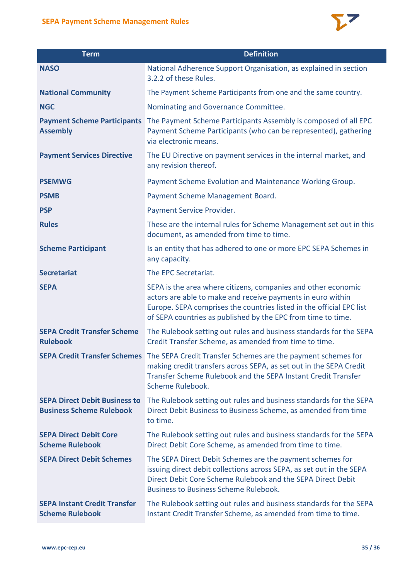

| <b>SEPA Payment Scheme Management Rules</b>                             |                                                                                                                                                                                                                                                                      |  |  |  |
|-------------------------------------------------------------------------|----------------------------------------------------------------------------------------------------------------------------------------------------------------------------------------------------------------------------------------------------------------------|--|--|--|
| <b>Term</b>                                                             | <b>Definition</b>                                                                                                                                                                                                                                                    |  |  |  |
| <b>NASO</b>                                                             | National Adherence Support Organisation, as explained in section<br>3.2.2 of these Rules.                                                                                                                                                                            |  |  |  |
| <b>National Community</b>                                               | The Payment Scheme Participants from one and the same country.                                                                                                                                                                                                       |  |  |  |
| <b>NGC</b>                                                              | Nominating and Governance Committee.                                                                                                                                                                                                                                 |  |  |  |
| <b>Payment Scheme Participants</b><br><b>Assembly</b>                   | The Payment Scheme Participants Assembly is composed of all EPC<br>Payment Scheme Participants (who can be represented), gathering<br>via electronic means.                                                                                                          |  |  |  |
| <b>Payment Services Directive</b>                                       | The EU Directive on payment services in the internal market, and<br>any revision thereof.                                                                                                                                                                            |  |  |  |
| <b>PSEMWG</b>                                                           | Payment Scheme Evolution and Maintenance Working Group.                                                                                                                                                                                                              |  |  |  |
| <b>PSMB</b>                                                             | Payment Scheme Management Board.                                                                                                                                                                                                                                     |  |  |  |
| <b>PSP</b>                                                              | Payment Service Provider.                                                                                                                                                                                                                                            |  |  |  |
| <b>Rules</b>                                                            | These are the internal rules for Scheme Management set out in this<br>document, as amended from time to time.                                                                                                                                                        |  |  |  |
| <b>Scheme Participant</b>                                               | Is an entity that has adhered to one or more EPC SEPA Schemes in<br>any capacity.                                                                                                                                                                                    |  |  |  |
| <b>Secretariat</b>                                                      | The EPC Secretariat.                                                                                                                                                                                                                                                 |  |  |  |
| <b>SEPA</b>                                                             | SEPA is the area where citizens, companies and other economic<br>actors are able to make and receive payments in euro within<br>Europe. SEPA comprises the countries listed in the official EPC list<br>of SEPA countries as published by the EPC from time to time. |  |  |  |
| <b>SEPA Credit Transfer Scheme</b><br><b>Rulebook</b>                   | The Rulebook setting out rules and business standards for the SEPA<br>Credit Transfer Scheme, as amended from time to time.                                                                                                                                          |  |  |  |
| <b>SEPA Credit Transfer Schemes</b>                                     | The SEPA Credit Transfer Schemes are the payment schemes for<br>making credit transfers across SEPA, as set out in the SEPA Credit<br>Transfer Scheme Rulebook and the SEPA Instant Credit Transfer<br>Scheme Rulebook.                                              |  |  |  |
| <b>SEPA Direct Debit Business to</b><br><b>Business Scheme Rulebook</b> | The Rulebook setting out rules and business standards for the SEPA<br>Direct Debit Business to Business Scheme, as amended from time<br>to time.                                                                                                                     |  |  |  |
| <b>SEPA Direct Debit Core</b><br><b>Scheme Rulebook</b>                 | The Rulebook setting out rules and business standards for the SEPA<br>Direct Debit Core Scheme, as amended from time to time.                                                                                                                                        |  |  |  |
| <b>SEPA Direct Debit Schemes</b>                                        | The SEPA Direct Debit Schemes are the payment schemes for<br>issuing direct debit collections across SEPA, as set out in the SEPA<br>Direct Debit Core Scheme Rulebook and the SEPA Direct Debit<br><b>Business to Business Scheme Rulebook.</b>                     |  |  |  |
| <b>SEPA Instant Credit Transfer</b><br><b>Scheme Rulebook</b>           | The Rulebook setting out rules and business standards for the SEPA<br>Instant Credit Transfer Scheme, as amended from time to time.                                                                                                                                  |  |  |  |